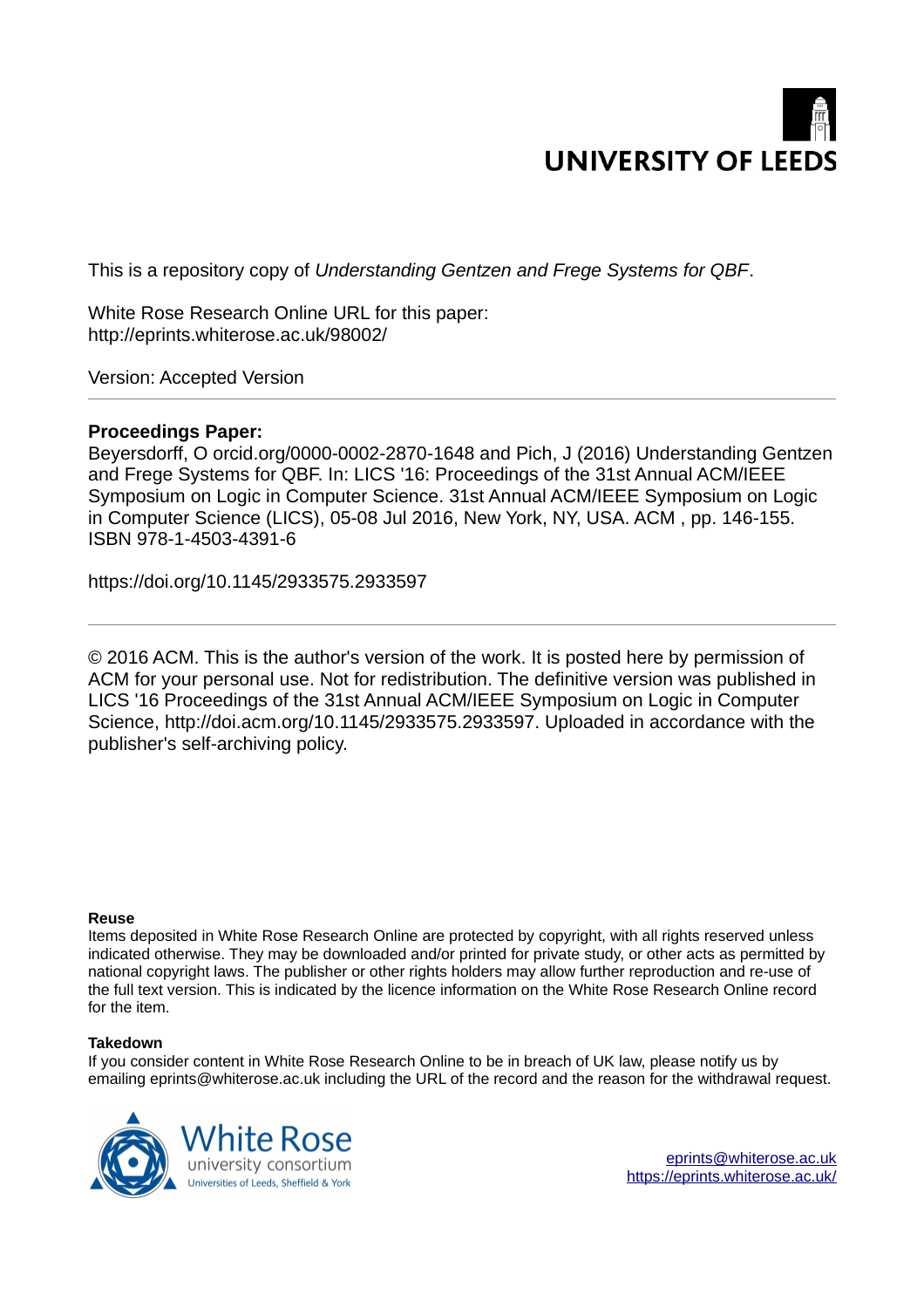

This is a repository copy of *Understanding Gentzen and Frege Systems for QBF*.

White Rose Research Online URL for this paper: http://eprints.whiterose.ac.uk/98002/

Version: Accepted Version

# **Proceedings Paper:**

Beyersdorff, O orcid.org/0000-0002-2870-1648 and Pich, J (2016) Understanding Gentzen and Frege Systems for QBF. In: LICS '16: Proceedings of the 31st Annual ACM/IEEE Symposium on Logic in Computer Science. 31st Annual ACM/IEEE Symposium on Logic in Computer Science (LICS), 05-08 Jul 2016, New York, NY, USA. ACM , pp. 146-155. ISBN 978-1-4503-4391-6

https://doi.org/10.1145/2933575.2933597

© 2016 ACM. This is the author's version of the work. It is posted here by permission of ACM for your personal use. Not for redistribution. The definitive version was published in LICS '16 Proceedings of the 31st Annual ACM/IEEE Symposium on Logic in Computer Science, http://doi.acm.org/10.1145/2933575.2933597. Uploaded in accordance with the publisher's self-archiving policy.

# **Reuse**

Items deposited in White Rose Research Online are protected by copyright, with all rights reserved unless indicated otherwise. They may be downloaded and/or printed for private study, or other acts as permitted by national copyright laws. The publisher or other rights holders may allow further reproduction and re-use of the full text version. This is indicated by the licence information on the White Rose Research Online record for the item.

# **Takedown**

If you consider content in White Rose Research Online to be in breach of UK law, please notify us by emailing eprints@whiterose.ac.uk including the URL of the record and the reason for the withdrawal request.

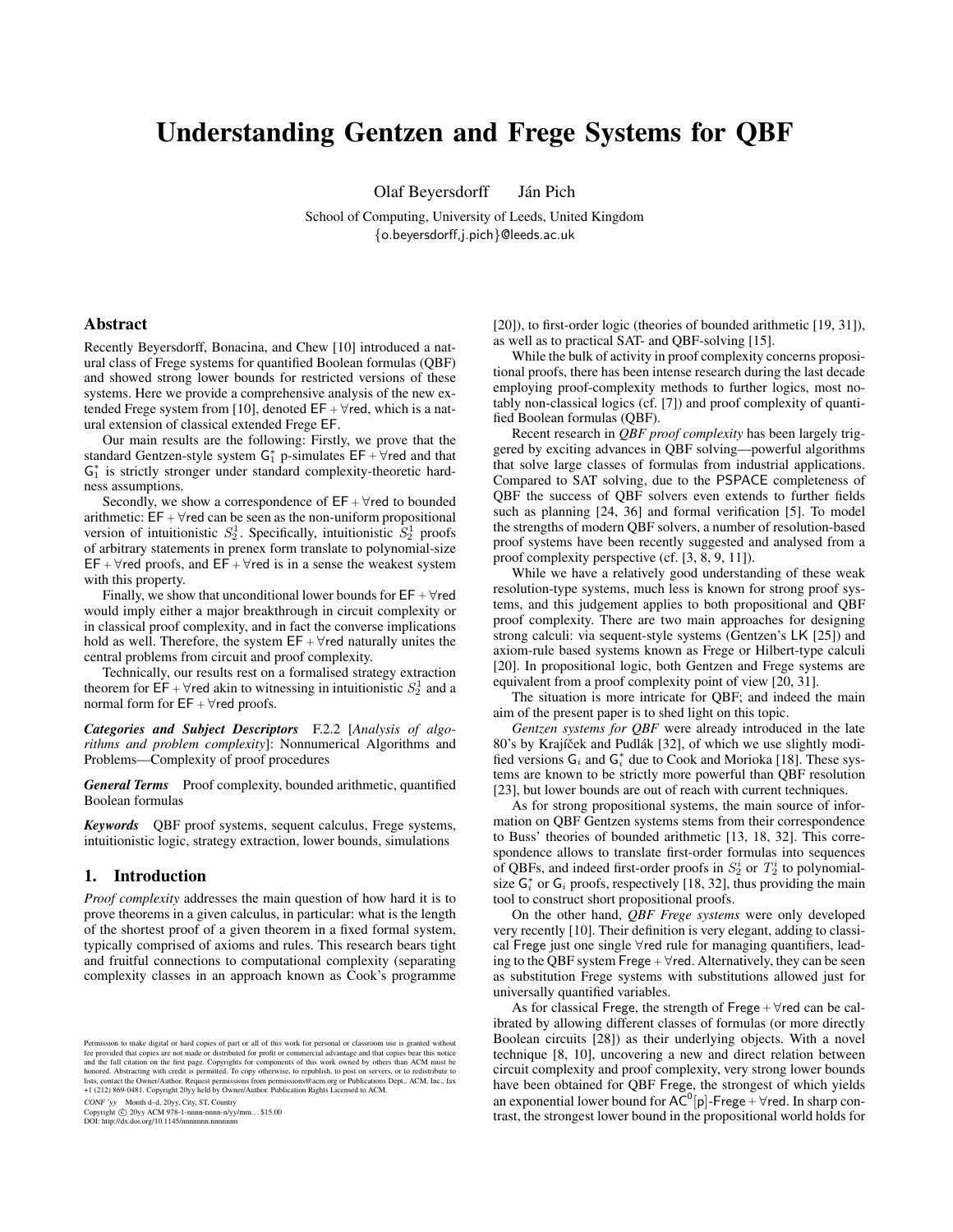# Understanding Gentzen and Frege Systems for QBF

Olaf Beyersdorff Ján Pich

School of Computing, University of Leeds, United Kingdom {o.beyersdorff,j.pich}@leeds.ac.uk

# Abstract

Recently Beyersdorff, Bonacina, and Chew [10] introduced a natural class of Frege systems for quantified Boolean formulas (QBF) and showed strong lower bounds for restricted versions of these systems. Here we provide a comprehensive analysis of the new extended Frege system from [10], denoted  $EF + \forall$ red, which is a natural extension of classical extended Frege EF.

Our main results are the following: Firstly, we prove that the standard Gentzen-style system  $G_1^*$  p-simulates  $EF + \forall$ red and that G<sup>\*</sup> is strictly stronger under standard complexity-theoretic hardness assumptions.

Secondly, we show a correspondence of  $EF + \forall$ red to bounded arithmetic:  $EF + \forall$ red can be seen as the non-uniform propositional version of intuitionistic  $S_2^1$ . Specifically, intuitionistic  $S_2^1$  proofs of arbitrary statements in prenex form translate to polynomial-size  $EF + \forall$ red proofs, and  $EF + \forall$ red is in a sense the weakest system with this property.

Finally, we show that unconditional lower bounds for  $EF + \forall$ red would imply either a major breakthrough in circuit complexity or in classical proof complexity, and in fact the converse implications hold as well. Therefore, the system  $EF + \forall$ red naturally unites the central problems from circuit and proof complexity.

Technically, our results rest on a formalised strategy extraction theorem for  $\overline{\mathsf{EF}} + \forall$  red akin to witnessing in intuitionistic  $S_2^1$  and a normal form for  $EF + \forall$ red proofs.

*Categories and Subject Descriptors* F.2.2 [*Analysis of algorithms and problem complexity*]: Nonnumerical Algorithms and Problems—Complexity of proof procedures

General Terms Proof complexity, bounded arithmetic, quantified Boolean formulas

*Keywords* QBF proof systems, sequent calculus, Frege systems, intuitionistic logic, strategy extraction, lower bounds, simulations

### 1. Introduction

*Proof complexity* addresses the main question of how hard it is to prove theorems in a given calculus, in particular: what is the length of the shortest proof of a given theorem in a fixed formal system, typically comprised of axioms and rules. This research bears tight and fruitful connections to computational complexity (separating complexity classes in an approach known as Cook's programme

CONF 'yy Month d–d, 20yy, City, ST, Country

Copyright © 20yy ACM 978-1-nnnn-nnnn-n/yy/mm...\$15.00<br>DOI: http://dx.doi.org/10.1145/nnnnnnn.nnnnnnnn

[20]), to first-order logic (theories of bounded arithmetic [19, 31]), as well as to practical SAT- and QBF-solving [15].

While the bulk of activity in proof complexity concerns propositional proofs, there has been intense research during the last decade employing proof-complexity methods to further logics, most notably non-classical logics (cf. [7]) and proof complexity of quantified Boolean formulas (QBF).

Recent research in *QBF proof complexity* has been largely triggered by exciting advances in QBF solving—powerful algorithms that solve large classes of formulas from industrial applications. Compared to SAT solving, due to the PSPACE completeness of QBF the success of QBF solvers even extends to further fields such as planning [24, 36] and formal verification [5]. To model the strengths of modern QBF solvers, a number of resolution-based proof systems have been recently suggested and analysed from a proof complexity perspective (cf. [3, 8, 9, 11]).

While we have a relatively good understanding of these weak resolution-type systems, much less is known for strong proof systems, and this judgement applies to both propositional and QBF proof complexity. There are two main approaches for designing strong calculi: via sequent-style systems (Gentzen's LK [25]) and axiom-rule based systems known as Frege or Hilbert-type calculi [20]. In propositional logic, both Gentzen and Frege systems are equivalent from a proof complexity point of view [20, 31].

The situation is more intricate for QBF; and indeed the main aim of the present paper is to shed light on this topic.

*Gentzen systems for QBF* were already introduced in the late 80's by Krajíček and Pudlák [32], of which we use slightly modified versions  $G_i$  and  $G_i^*$  due to Cook and Morioka [18]. These systems are known to be strictly more powerful than QBF resolution [23], but lower bounds are out of reach with current techniques.

As for strong propositional systems, the main source of information on QBF Gentzen systems stems from their correspondence to Buss' theories of bounded arithmetic [13, 18, 32]. This correspondence allows to translate first-order formulas into sequences of QBFs, and indeed first-order proofs in  $S_2^i$  or  $T_2^i$  to polynomialsize  $G_i^*$  or  $G_i$  proofs, respectively [18, 32], thus providing the main tool to construct short propositional proofs.

On the other hand, *QBF Frege systems* were only developed very recently [10]. Their definition is very elegant, adding to classical Frege just one single ∀red rule for managing quantifiers, leading to the QBF system Frege +  $\forall$ red. Alternatively, they can be seen as substitution Frege systems with substitutions allowed just for universally quantified variables.

As for classical Frege, the strength of Frege +  $\forall$ red can be calibrated by allowing different classes of formulas (or more directly Boolean circuits [28]) as their underlying objects. With a novel technique [8, 10], uncovering a new and direct relation between circuit complexity and proof complexity, very strong lower bounds have been obtained for QBF Frege, the strongest of which yields an exponential lower bound for  $AC^0[p]$ -Frege +  $\forall$ red. In sharp contrast, the strongest lower bound in the propositional world holds for

Permission to make digital or hard copies of part or all of this work for personal or classroom use is granted without fee provided that copies are not made or distributed for profit or commercial advantage and that copies bear this notice<br>and the full citation on the first page. Copyrights for components of this work owned by others than +1 (212) 869-0481. Copyright 20yy held by Owner/Author. Publication Rights Licensed to ACM.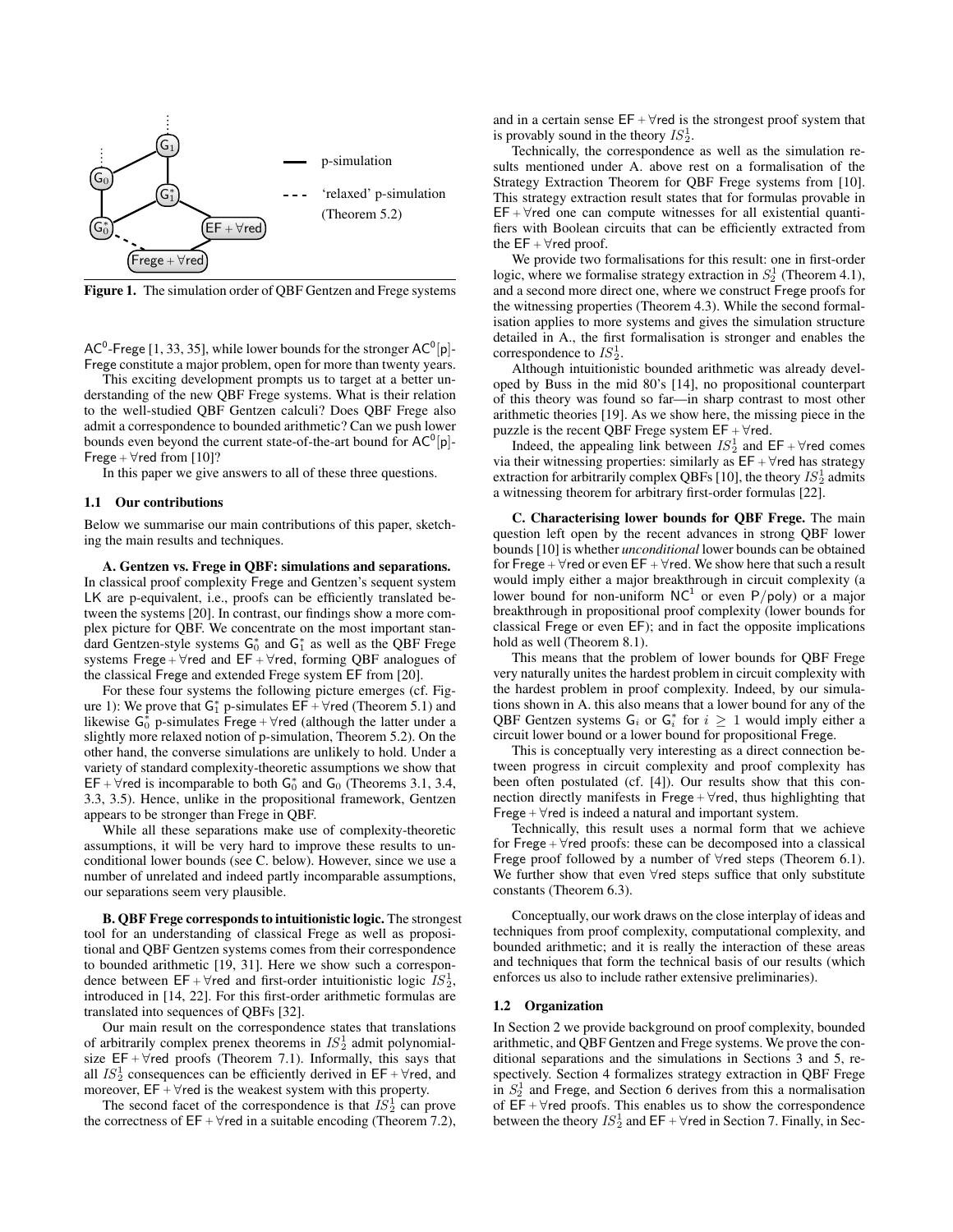

Figure 1. The simulation order of QBF Gentzen and Frege systems

AC<sup>0</sup>-Frege [1, 33, 35], while lower bounds for the stronger  $AC^0[p]$ -Frege constitute a major problem, open for more than twenty years.

This exciting development prompts us to target at a better understanding of the new QBF Frege systems. What is their relation to the well-studied QBF Gentzen calculi? Does QBF Frege also admit a correspondence to bounded arithmetic? Can we push lower bounds even beyond the current state-of-the-art bound for  $AC^0[p]$ -Frege +  $\forall$ red from [10]?

In this paper we give answers to all of these three questions.

#### 1.1 Our contributions

Below we summarise our main contributions of this paper, sketching the main results and techniques.

A. Gentzen vs. Frege in QBF: simulations and separations. In classical proof complexity Frege and Gentzen's sequent system LK are p-equivalent, i.e., proofs can be efficiently translated between the systems [20]. In contrast, our findings show a more complex picture for QBF. We concentrate on the most important standard Gentzen-style systems  $G_0^*$  and  $G_1^*$  as well as the QBF Frege systems Frege +  $\forall$ red and EF +  $\forall$ red, forming QBF analogues of the classical Frege and extended Frege system EF from [20].

For these four systems the following picture emerges (cf. Figure 1): We prove that  $G_1^*$  p-simulates  $E\overline{F} + \forall$ red (Theorem 5.1) and likewise  $G_0^*$  p-simulates Frege +  $\forall$ red (although the latter under a slightly more relaxed notion of p-simulation, Theorem 5.2). On the other hand, the converse simulations are unlikely to hold. Under a variety of standard complexity-theoretic assumptions we show that EF +  $\forall$ red is incomparable to both  $G_0^*$  and  $G_0$  (Theorems 3.1, 3.4, 3.3, 3.5). Hence, unlike in the propositional framework, Gentzen appears to be stronger than Frege in QBF.

While all these separations make use of complexity-theoretic assumptions, it will be very hard to improve these results to unconditional lower bounds (see C. below). However, since we use a number of unrelated and indeed partly incomparable assumptions, our separations seem very plausible.

B. QBF Frege corresponds to intuitionistic logic. The strongest tool for an understanding of classical Frege as well as propositional and QBF Gentzen systems comes from their correspondence to bounded arithmetic [19, 31]. Here we show such a correspondence between  $EF + \forall$ red and first-order intuitionistic logic  $\overline{IS_2^1}$ , introduced in [14, 22]. For this first-order arithmetic formulas are translated into sequences of QBFs [32].

Our main result on the correspondence states that translations of arbitrarily complex prenex theorems in  $IS_2^1$  admit polynomialsize  $EF + \forall$ red proofs (Theorem 7.1). Informally, this says that all  $IS_2^1$  consequences can be efficiently derived in  $EF + \forall$ red, and moreover,  $EF + \forall$ red is the weakest system with this property.

The second facet of the correspondence is that  $I_{S_2}^1$  can prove the correctness of  $EF + \forall$ red in a suitable encoding (Theorem 7.2), and in a certain sense  $EF + \forall$ red is the strongest proof system that is provably sound in the theory  $IS_2^1$ .

Technically, the correspondence as well as the simulation results mentioned under A. above rest on a formalisation of the Strategy Extraction Theorem for QBF Frege systems from [10]. This strategy extraction result states that for formulas provable in  $EF + \forall$ red one can compute witnesses for all existential quantifiers with Boolean circuits that can be efficiently extracted from the  $EF + \forall$ red proof.

We provide two formalisations for this result: one in first-order logic, where we formalise strategy extraction in  $S_2^1$  (Theorem 4.1), and a second more direct one, where we construct Frege proofs for the witnessing properties (Theorem 4.3). While the second formalisation applies to more systems and gives the simulation structure detailed in A., the first formalisation is stronger and enables the correspondence to  $IS_2^1$ .

Although intuitionistic bounded arithmetic was already developed by Buss in the mid 80's [14], no propositional counterpart of this theory was found so far—in sharp contrast to most other arithmetic theories [19]. As we show here, the missing piece in the puzzle is the recent QBF Frege system  $EF + \forall$ red.

Indeed, the appealing link between  $IS_2^1$  and  $EF + \forall$ red comes via their witnessing properties: similarly as  $EF + \forall$ red has strategy extraction for arbitrarily complex QBFs [10], the theory  $IS_2^1$  admits a witnessing theorem for arbitrary first-order formulas [22].

C. Characterising lower bounds for QBF Frege. The main question left open by the recent advances in strong QBF lower bounds [10] is whether *unconditional* lower bounds can be obtained for Frege +  $\forall$ red or even EF +  $\forall$ red. We show here that such a result would imply either a major breakthrough in circuit complexity (a lower bound for non-uniform  $NC^1$  or even P/poly) or a major breakthrough in propositional proof complexity (lower bounds for classical Frege or even EF); and in fact the opposite implications hold as well (Theorem 8.1).

This means that the problem of lower bounds for QBF Frege very naturally unites the hardest problem in circuit complexity with the hardest problem in proof complexity. Indeed, by our simulations shown in A. this also means that a lower bound for any of the QBF Gentzen systems  $G_i$  or  $G_i^*$  for  $i \geq 1$  would imply either a circuit lower bound or a lower bound for propositional Frege.

This is conceptually very interesting as a direct connection between progress in circuit complexity and proof complexity has been often postulated (cf. [4]). Our results show that this connection directly manifests in Frege <sup>+</sup> ∀red, thus highlighting that Frege +  $\forall$ red is indeed a natural and important system.

Technically, this result uses a normal form that we achieve for Frege  $+ \forall$ red proofs: these can be decomposed into a classical Frege proof followed by a number of ∀red steps (Theorem 6.1). We further show that even ∀red steps suffice that only substitute constants (Theorem 6.3).

Conceptually, our work draws on the close interplay of ideas and techniques from proof complexity, computational complexity, and bounded arithmetic; and it is really the interaction of these areas and techniques that form the technical basis of our results (which enforces us also to include rather extensive preliminaries).

#### 1.2 Organization

In Section 2 we provide background on proof complexity, bounded arithmetic, and QBF Gentzen and Frege systems. We prove the conditional separations and the simulations in Sections 3 and 5, respectively. Section 4 formalizes strategy extraction in QBF Frege in  $S_2^1$  and Frege, and Section 6 derives from this a normalisation of  $EF + \forall$ red proofs. This enables us to show the correspondence between the theory  $IS_2^1$  and  $\textsf{EF} + \forall$  red in Section 7. Finally, in Sec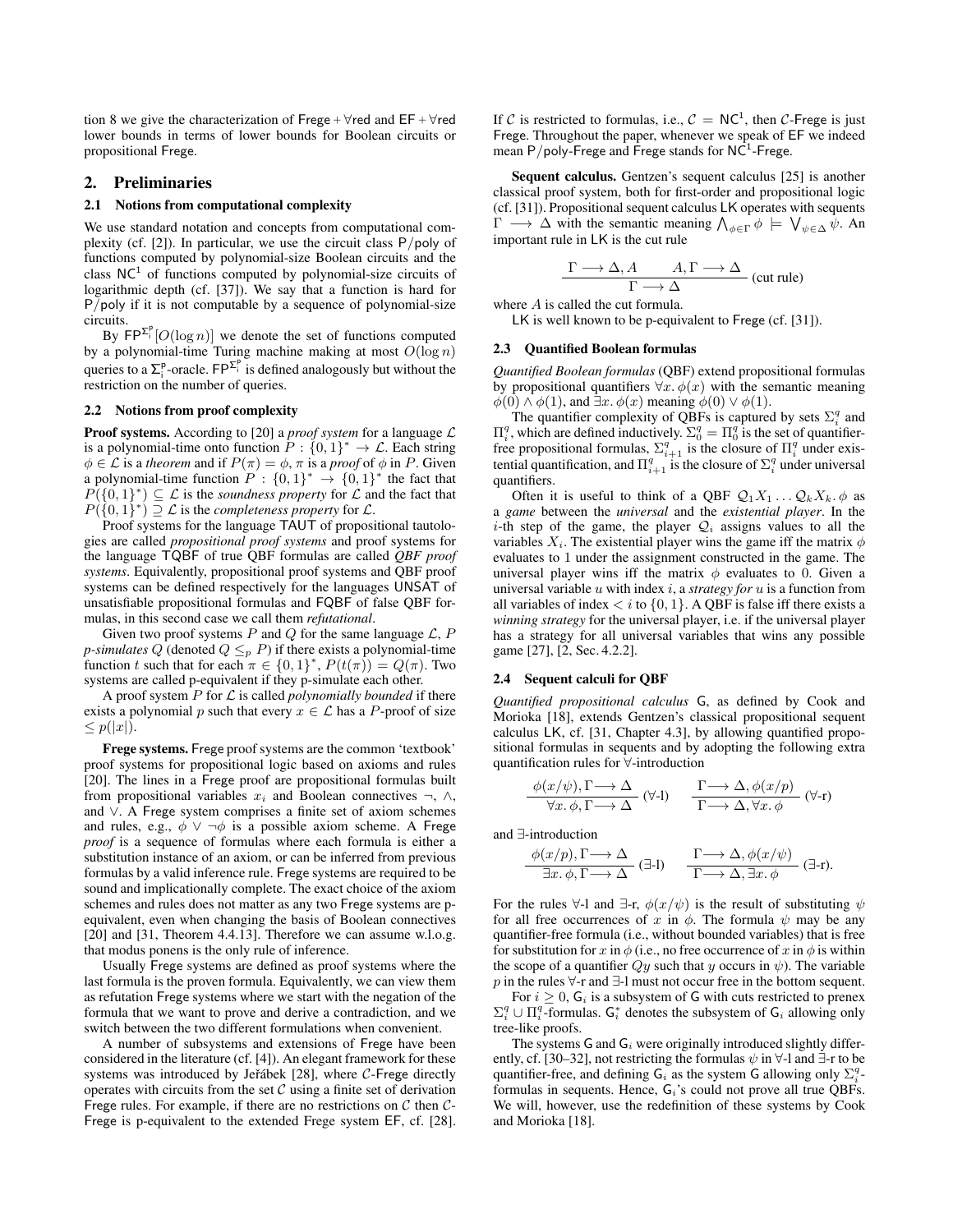tion 8 we give the characterization of Frege +  $\forall$ red and EF +  $\forall$ red lower bounds in terms of lower bounds for Boolean circuits or propositional Frege.

#### 2. Preliminaries

#### 2.1 Notions from computational complexity

We use standard notation and concepts from computational complexity (cf. [2]). In particular, we use the circuit class  $P/poly$  of functions computed by polynomial-size Boolean circuits and the class  $NC<sup>1</sup>$  of functions computed by polynomial-size circuits of logarithmic depth (cf. [37]). We say that a function is hard for P/poly if it is not computable by a sequence of polynomial-size circuits.

By  $\mathsf{FP}^{\Sigma_{i}^{\mathsf{p}}}[O(\log n)]$  we denote the set of functions computed by a polynomial-time Turing machine making at most  $O(\log n)$ queries to a  $\Sigma_i^p$ -oracle. FP $\Sigma_i^p$  is defined analogously but without the restriction on the number of queries.

#### 2.2 Notions from proof complexity

Proof systems. According to [20] a *proof system* for a language L is a polynomial-time onto function  $P: \{0,1\}^* \to \mathcal{L}$ . Each string  $\phi \in \mathcal{L}$  is a *theorem* and if  $P(\pi) = \phi$ ,  $\pi$  is a *proof* of  $\phi$  in P. Given a polynomial-time function  $P: \{0,1\}^* \rightarrow \{0,1\}^*$  the fact that  $P(\{0,1\}^*) \subseteq \mathcal{L}$  is the *soundness property* for  $\mathcal L$  and the fact that  $P({0,1}^*) \supseteq \mathcal{L}$  is the *completeness property* for  $\mathcal{L}$ .

Proof systems for the language TAUT of propositional tautologies are called *propositional proof systems* and proof systems for the language TQBF of true QBF formulas are called *QBF proof systems*. Equivalently, propositional proof systems and QBF proof systems can be defined respectively for the languages UNSAT of unsatisfiable propositional formulas and FQBF of false QBF formulas, in this second case we call them *refutational*.

Given two proof systems  $P$  and  $Q$  for the same language  $\mathcal{L}, P$ *p-simulates*  $Q$  (denoted  $Q \leq_p P$ ) if there exists a polynomial-time function t such that for each  $\pi \in \{0,1\}^*$ ,  $P(t(\pi)) = Q(\pi)$ . Two systems are called p-equivalent if they p-simulate each other.

A proof system P for L is called *polynomially bounded* if there exists a polynomial p such that every  $x \in \mathcal{L}$  has a P-proof of size  $\leq p(|x|)$ .

Frege systems. Frege proof systems are the common 'textbook' proof systems for propositional logic based on axioms and rules [20]. The lines in a Frege proof are propositional formulas built from propositional variables  $x_i$  and Boolean connectives  $\neg$ ,  $\wedge$ , and ∨. A Frege system comprises a finite set of axiom schemes and rules, e.g.,  $\phi \lor \neg \phi$  is a possible axiom scheme. A Frege *proof* is a sequence of formulas where each formula is either a substitution instance of an axiom, or can be inferred from previous formulas by a valid inference rule. Frege systems are required to be sound and implicationally complete. The exact choice of the axiom schemes and rules does not matter as any two Frege systems are pequivalent, even when changing the basis of Boolean connectives [20] and [31, Theorem 4.4.13]. Therefore we can assume w.l.o.g. that modus ponens is the only rule of inference.

Usually Frege systems are defined as proof systems where the last formula is the proven formula. Equivalently, we can view them as refutation Frege systems where we start with the negation of the formula that we want to prove and derive a contradiction, and we switch between the two different formulations when convenient.

A number of subsystems and extensions of Frege have been considered in the literature (cf. [4]). An elegant framework for these systems was introduced by Jeřábek [28], where  $C$ -Frege directly operates with circuits from the set  $C$  using a finite set of derivation Frege rules. For example, if there are no restrictions on  $C$  then  $C$ -Frege is p-equivalent to the extended Frege system EF, cf. [28].

If C is restricted to formulas, i.e.,  $C = NC<sup>1</sup>$ , then C-Frege is just Frege. Throughout the paper, whenever we speak of EF we indeed mean P/poly-Frege and Frege stands for  $N\overline{C}^1$ -Frege.

Sequent calculus. Gentzen's sequent calculus [25] is another classical proof system, both for first-order and propositional logic (cf. [31]). Propositional sequent calculus LK operates with sequents  $\Gamma \longrightarrow \Delta$  with the semantic meaning  $\bigwedge_{\phi \in \Gamma} \phi \models \bigvee_{\psi \in \Delta} \psi$ . An important rule in LK is the cut rule

$$
\frac{\Gamma \longrightarrow \Delta, A \qquad A, \Gamma \longrightarrow \Delta}{\Gamma \longrightarrow \Delta}
$$
 (cut rule)  
where A is called the cut formula.

LK is well known to be p-equivalent to Frege (cf. [31]).

#### 2.3 Quantified Boolean formulas

*Quantified Boolean formulas* (QBF) extend propositional formulas by propositional quantifiers  $\forall x \cdot \phi(x)$  with the semantic meaning  $\phi(0) \wedge \phi(1)$ , and  $\exists x. \phi(x)$  meaning  $\phi(0) \vee \phi(1)$ .

The quantifier complexity of QBFs is captured by sets  $\Sigma_i^q$  and  $\Pi_i^q$ , which are defined inductively.  $\Sigma_0^q = \Pi_0^q$  is the set of quantifierfree propositional formulas,  $\Sigma_{i+1}^q$  is the closure of  $\Pi_i^q$  under existential quantification, and  $\Pi_{i+1}^q$  is the closure of  $\Sigma_i^q$  under universal quantifiers.

Often it is useful to think of a QBF  $Q_1X_1 \ldots Q_kX_k$ .  $\phi$  as a *game* between the *universal* and the *existential player*. In the i-th step of the game, the player  $Q_i$  assigns values to all the variables  $X_i$ . The existential player wins the game iff the matrix  $\phi$ evaluates to 1 under the assignment constructed in the game. The universal player wins iff the matrix  $\phi$  evaluates to 0. Given a universal variable u with index i, a *strategy for* u is a function from all variables of index  $\langle i \text{ to } \{0,1\} \rangle$ . A QBF is false iff there exists a *winning strategy* for the universal player, i.e. if the universal player has a strategy for all universal variables that wins any possible game [27], [2, Sec. 4.2.2].

#### 2.4 Sequent calculi for QBF

*Quantified propositional calculus* G, as defined by Cook and Morioka [18], extends Gentzen's classical propositional sequent calculus LK, cf. [31, Chapter 4.3], by allowing quantified propositional formulas in sequents and by adopting the following extra quantification rules for ∀-introduction

$$
\frac{\phi(x/\psi), \Gamma \longrightarrow \Delta}{\forall x. \phi, \Gamma \longrightarrow \Delta} \quad (\forall\text{-}I) \qquad \frac{\Gamma \longrightarrow \Delta, \phi(x/p)}{\Gamma \longrightarrow \Delta, \forall x. \phi} \quad (\forall\text{-}r)
$$

and ∃-introduction

$$
\frac{\phi(x/p), \Gamma \longrightarrow \Delta}{\exists x. \phi, \Gamma \longrightarrow \Delta} \quad (\exists \text{-}l) \qquad \frac{\Gamma \longrightarrow \Delta, \phi(x/\psi)}{\Gamma \longrightarrow \Delta, \exists x. \phi} \quad (\exists \text{-}r).
$$

For the rules  $\forall$ -l and  $\exists$ -r,  $\phi(x/\psi)$  is the result of substituting  $\psi$ for all free occurrences of x in  $\phi$ . The formula  $\psi$  may be any quantifier-free formula (i.e., without bounded variables) that is free for substitution for x in  $\phi$  (i.e., no free occurrence of x in  $\phi$  is within the scope of a quantifier  $Qy$  such that y occurs in  $\psi$ ). The variable p in the rules  $\forall$ -r and  $\exists$ -l must not occur free in the bottom sequent.

For  $i \geq 0$ ,  $G_i$  is a subsystem of G with cuts restricted to prenex  $\Sigma_i^q \cup \Pi_i^q$ -formulas.  $G_i^*$  denotes the subsystem of  $G_i$  allowing only tree-like proofs.

The systems G and  $G_i$  were originally introduced slightly differently, cf. [30–32], not restricting the formulas  $\psi$  in  $\forall$ -l and ∃-r to be quantifier-free, and defining  $G_i$  as the system G allowing only  $\Sigma_i^q$ . formulas in sequents. Hence,  $G_i$ 's could not prove all true QBFs. We will, however, use the redefinition of these systems by Cook and Morioka [18].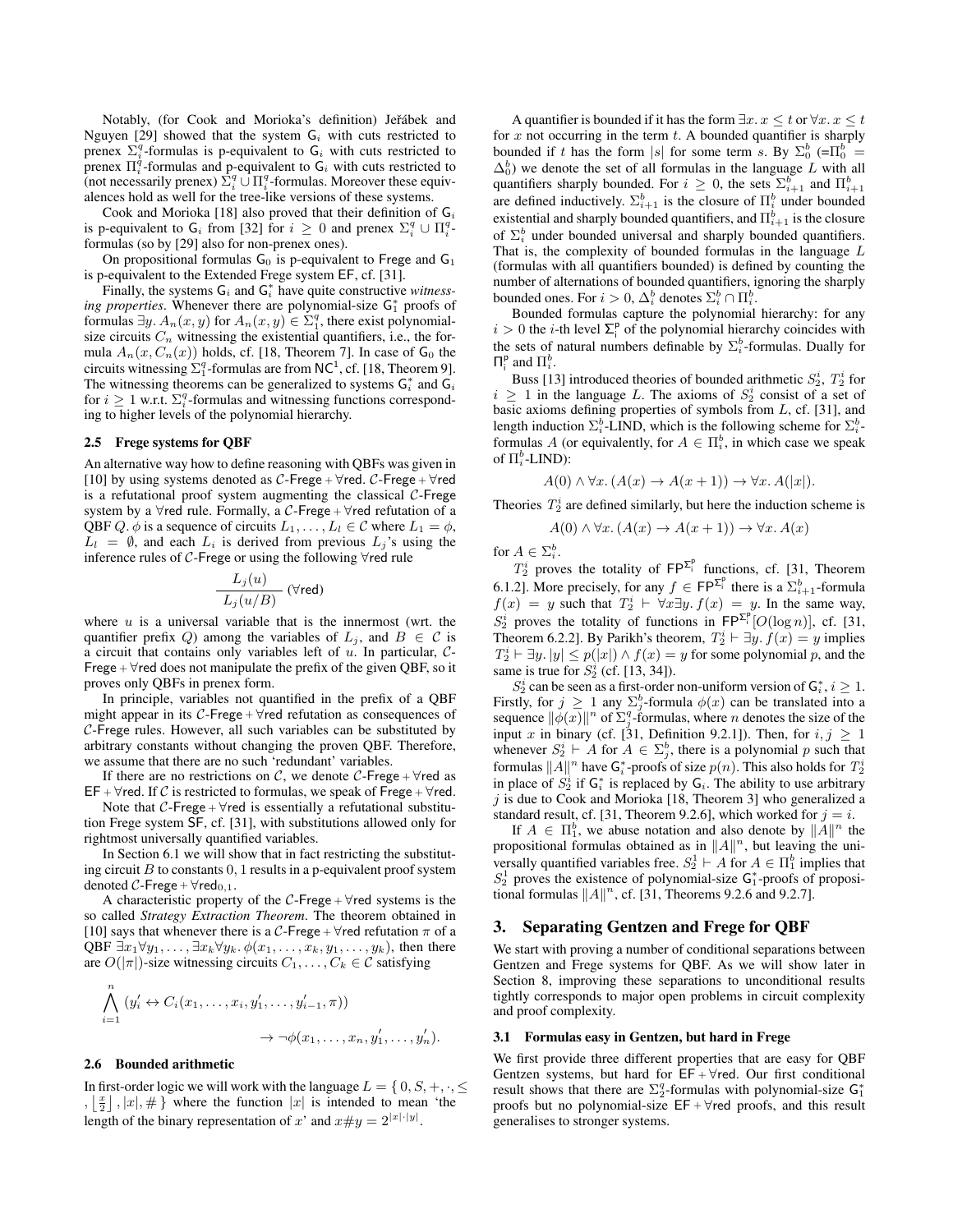Notably, (for Cook and Morioka's definition) Jeřábek and Nguyen [29] showed that the system  $G_i$  with cuts restricted to prenex  $\sum_{i=1}^{q}$ -formulas is p-equivalent to  $G_i$  with cuts restricted to prenex  $\Pi_i^{\dot{q}}$ -formulas and p-equivalent to  $G_i$  with cuts restricted to (not necessarily prenex)  $\sum_{i=1}^{q} \cup \prod_{i=1}^{q}$ -formulas. Moreover these equivalences hold as well for the tree-like versions of these systems.

Cook and Morioka [18] also proved that their definition of  $G_i$ is p-equivalent to  $G_i$  from [32] for  $i \geq 0$  and prenex  $\Sigma_i^q \cup \Pi_i^q$ formulas (so by [29] also for non-prenex ones).

On propositional formulas  $G_0$  is p-equivalent to Frege and  $G_1$ is p-equivalent to the Extended Frege system EF, cf. [31].

Finally, the systems  $G_i$  and  $G_i^*$  have quite constructive *witness*ing properties. Whenever there are polynomial-size  $G_1^*$  proofs of formulas  $\exists y. A_n(x, y)$  for  $A_n(x, y) \in \Sigma_1^q$ , there exist polynomialsize circuits  $C_n$  witnessing the existential quantifiers, i.e., the formula  $A_n(x, C_n(x))$  holds, cf. [18, Theorem 7]. In case of  $G_0$  the circuits witnessing  $\Sigma_1^q$ -formulas are from NC<sup>1</sup>, cf. [18, Theorem 9]. The witnessing theorems can be generalized to systems  $G_i^*$  and  $G_i$ for  $i \geq 1$  w.r.t.  $\Sigma_i^q$ -formulas and witnessing functions corresponding to higher levels of the polynomial hierarchy.

#### 2.5 Frege systems for QBF

An alternative way how to define reasoning with QBFs was given in [10] by using systems denoted as  $C$ -Frege +  $\forall$ red.  $C$ -Frege +  $\forall$ red is a refutational proof system augmenting the classical  $C$ -Frege system by a  $\forall$ red rule. Formally, a C-Frege +  $\forall$ red refutation of a QBF Q.  $\phi$  is a sequence of circuits  $L_1, \ldots, L_l \in \mathcal{C}$  where  $L_1 = \phi$ ,  $L_l = \emptyset$ , and each  $L_i$  is derived from previous  $L_i$ 's using the inference rules of C-Frege or using the following ∀red rule

$$
\frac{L_j(u)}{L_j(u/B)}\ (\forall \text{red})
$$

where  $u$  is a universal variable that is the innermost (wrt. the quantifier prefix Q) among the variables of  $L_j$ , and  $B \in \mathcal{C}$  is a circuit that contains only variables left of  $u$ . In particular,  $C$ -Frege +  $\forall$ red does not manipulate the prefix of the given QBF, so it proves only QBFs in prenex form.

In principle, variables not quantified in the prefix of a QBF might appear in its  $C$ -Frege +  $\forall$ red refutation as consequences of C-Frege rules. However, all such variables can be substituted by arbitrary constants without changing the proven QBF. Therefore, we assume that there are no such 'redundant' variables.

If there are no restrictions on C, we denote C-Frege +  $\forall$ red as EF +  $\forall$ red. If C is restricted to formulas, we speak of Frege +  $\forall$ red.

Note that C-Frege +  $\forall$ red is essentially a refutational substitution Frege system SF, cf. [31], with substitutions allowed only for rightmost universally quantified variables.

In Section 6.1 we will show that in fact restricting the substituting circuit  $B$  to constants  $0, 1$  results in a p-equivalent proof system denoted C-Frege +  $\forall$ red<sub>0,1</sub>.

A characteristic property of the  $C$ -Frege +  $\forall$ red systems is the so called *Strategy Extraction Theorem*. The theorem obtained in [10] says that whenever there is a C-Frege +  $\forall$ red refutation  $\pi$  of a QBF  $\exists x_1 \forall y_1, \ldots, \exists x_k \forall y_k. \phi(x_1, \ldots, x_k, y_1, \ldots, y_k)$ , then there are  $O(|\pi|)$ -size witnessing circuits  $C_1, \ldots, C_k \in \mathcal{C}$  satisfying

$$
\bigwedge_{i=1}^n (y'_i \leftrightarrow C_i(x_1,\ldots,x_i,y'_1,\ldots,y'_{i-1},\pi))
$$
  

$$
\rightarrow \neg \phi(x_1,\ldots,x_n,y'_1,\ldots,y'_n).
$$

#### 2.6 Bounded arithmetic

In first-order logic we will work with the language  $L = \{0, S, +, \cdot, \leq \}$  $,\lfloor \frac{x}{2} \rfloor, |x|, \#$  where the function  $|x|$  is intended to mean 'the length of the binary representation of x' and  $x \# y = 2^{|x| \cdot |y|}$ .

A quantifier is bounded if it has the form  $\exists x \cdot x \leq t$  or  $\forall x \cdot x \leq t$ for  $x$  not occurring in the term  $t$ . A bounded quantifier is sharply bounded if t has the form |s| for some term s. By  $\Sigma_0^b$  (= $\Pi_0^b$  =  $\Delta_0^b$ ) we denote the set of all formulas in the language L with all quantifiers sharply bounded. For  $i \geq 0$ , the sets  $\sum_{i=1}^{b}$  and  $\Pi_{i+1}^{b}$ are defined inductively.  $\Sigma_{i+1}^b$  is the closure of  $\Pi_i^b$  under bounded existential and sharply bounded quantifiers, and  $\Pi_{i+1}^b$  is the closure of  $\Sigma_i^b$  under bounded universal and sharply bounded quantifiers. That is, the complexity of bounded formulas in the language L (formulas with all quantifiers bounded) is defined by counting the number of alternations of bounded quantifiers, ignoring the sharply bounded ones. For  $i > 0$ ,  $\Delta_i^b$  denotes  $\Sigma_i^b \cap \Pi_i^b$ .

Bounded formulas capture the polynomial hierarchy: for any  $i > 0$  the *i*-th level  $\sum_{i=1}^{p}$  of the polynomial hierarchy coincides with the sets of natural numbers definable by  $\Sigma_i^b$ -formulas. Dually for  $\Pi_i^{\text{p}}$  and  $\Pi_i^{\text{b}}$ .

Buss [13] introduced theories of bounded arithmetic  $S_2^i$ ,  $T_2^i$  for  $i \geq 1$  in the language L. The axioms of  $S_2^i$  consist of a set of basic axioms defining properties of symbols from  $L$ , cf. [31], and length induction  $\Sigma_i^b$ -LIND, which is the following scheme for  $\Sigma_i^b$ formulas A (or equivalently, for  $A \in \Pi_i^b$ , in which case we speak of  $\Pi_i^b$ -LIND):

$$
A(0) \land \forall x. (A(x) \to A(x+1)) \to \forall x. A(|x|).
$$

Theories  $T_2^i$  are defined similarly, but here the induction scheme is

$$
A(0) \land \forall x. (A(x) \to A(x+1)) \to \forall x. A(x)
$$

for  $A \in \Sigma_i^b$ .

 $T_2^i$  proves the totality of  $\mathsf{FP}^{\Sigma_i^p}$  functions, cf. [31, Theorem 6.1.2]. More precisely, for any  $f \in \mathsf{FP}^{\Sigma_i^p}$  there is a  $\Sigma_{i+1}^b$ -formula  $f(x) = y$  such that  $T_2^i \vdash \forall x \exists y. f(x) = y$ . In the same way,  $S_2^i$  proves the totality of functions in  $\mathsf{FP}^{\Sigma_i^p}[O(\log n)]$ , cf. [31, Theorem 6.2.2]. By Parikh's theorem,  $T_2^i \vdash \exists y. f(x) = y$  implies  $T_2^i \vdash \exists y. |y| \leq p(|x|) \land f(x) = y$  for some polynomial p, and the same is true for  $S_2^i$  (cf. [13, 34]).

 $S_2^i$  can be seen as a first-order non-uniform version of  $G_i^*, i \geq 1$ . Firstly, for  $j \geq 1$  any  $\sum_{j=1}^{b}$ -formula  $\phi(x)$  can be translated into a sequence  $\|\phi(x)\|^n$  of  $\Sigma_j^q$ -formulas, where n denotes the size of the input x in binary (cf. [31, Definition 9.2.1]). Then, for  $i, j \ge 1$ whenever  $S_2^i$  ⊢ A for  $A \in \Sigma_j^b$ , there is a polynomial p such that formulas  $\|A\|^n$  have  $\mathsf{G}_i^*$ -proofs of size  $p(n).$  This also holds for  $T_2^i$ in place of  $S_2^i$  if  $G_i^*$  is replaced by  $G_i$ . The ability to use arbitrary  $j$  is due to Cook and Morioka [18, Theorem 3] who generalized a standard result, cf. [31, Theorem 9.2.6], which worked for  $j = i$ .

If  $A \in \Pi_1^b$ , we abuse notation and also denote by  $||A||^n$  the propositional formulas obtained as in  $||A||^n$ , but leaving the universally quantified variables free.  $S_2^1 \vdash A$  for  $A \in \Pi_1^b$  implies that  $S_2^1$  proves the existence of polynomial-size  $G_1^*$ -proofs of propositional formulas  $||A||^n$ , cf. [31, Theorems 9.2.6 and 9.2.7].

#### 3. Separating Gentzen and Frege for QBF

We start with proving a number of conditional separations between Gentzen and Frege systems for QBF. As we will show later in Section 8, improving these separations to unconditional results tightly corresponds to major open problems in circuit complexity and proof complexity.

#### 3.1 Formulas easy in Gentzen, but hard in Frege

We first provide three different properties that are easy for QBF Gentzen systems, but hard for  $EF + \forall$ red. Our first conditional result shows that there are  $\Sigma_2^q$ -formulas with polynomial-size  $G_1^*$ proofs but no polynomial-size  $EF + \forall$ red proofs, and this result generalises to stronger systems.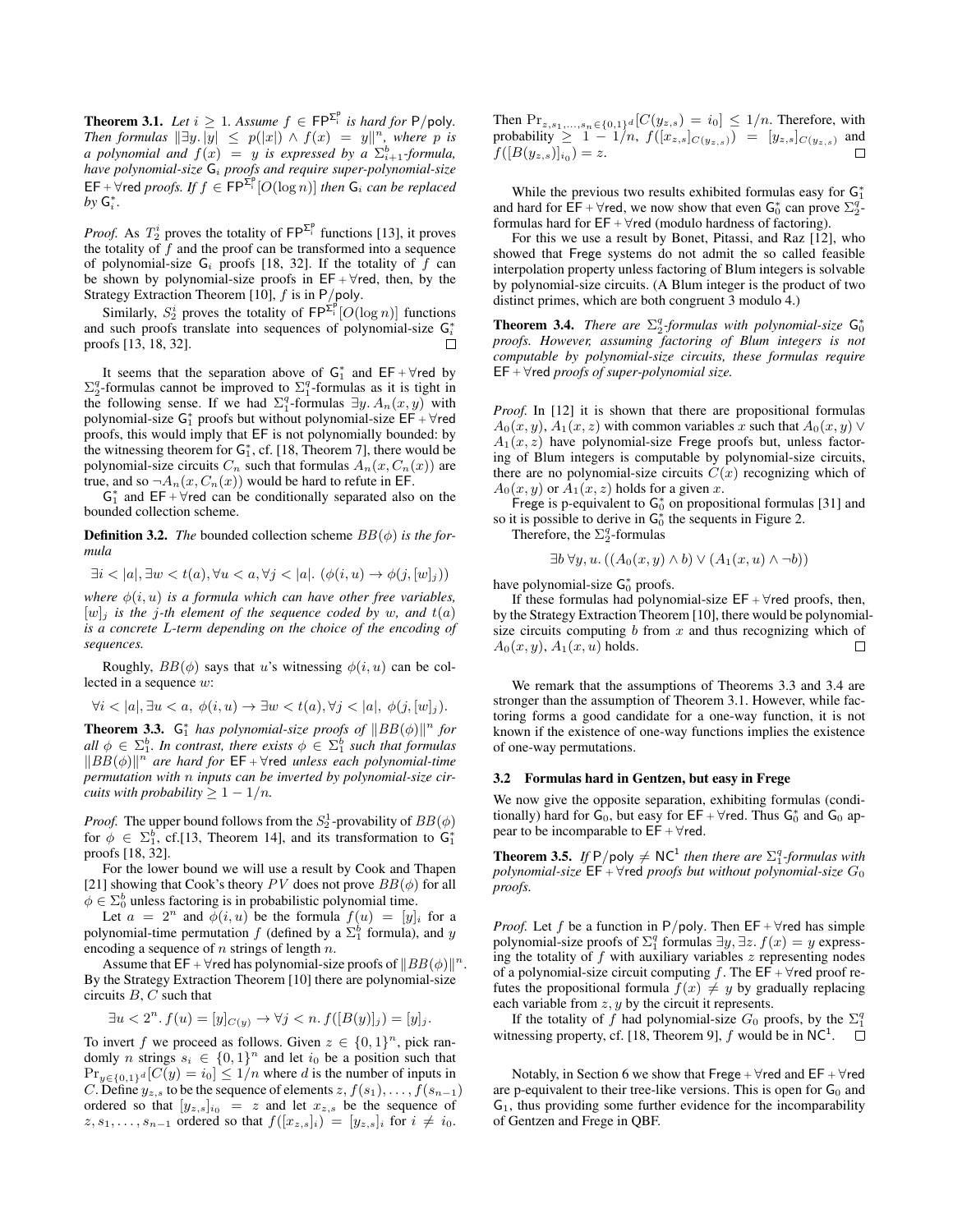**Theorem 3.1.** *Let*  $i \geq 1$ *. Assume*  $f \in \mathsf{FP}^{\Sigma_i^p}$  *is hard for* P/poly. *Then formulas*  $||\exists y. |y| \leq p(|x|) \land f(x) = y||^n$ , where p is *a* polynomial and  $f(x) = y$  is expressed by a  $\sum_{i=1}^{b}$ -formula, *have polynomial-size* G<sup>i</sup> *proofs and require super-polynomial-size*  $\mathsf{EF} + \forall$  red *proofs.* If  $f \in \mathsf{FP}^{\Sigma_{\mathsf{F}}^{\mathsf{p}}}[\mathit{O}(\log n)]$  then  $\mathsf{G}_i$  can be replaced  $by G_i^*$ .

*Proof.* As  $T_2^i$  proves the totality of  $\mathsf{FP}^{\Sigma_i^p}$  functions [13], it proves the totality of  $\hat{f}$  and the proof can be transformed into a sequence of polynomial-size  $G_i$  proofs [18, 32]. If the totality of  $f$  can be shown by polynomial-size proofs in  $EF + \forall$ red, then, by the Strategy Extraction Theorem [10],  $f$  is in P/poly.

Similarly,  $S_2^i$  proves the totality of  $\mathsf{FP}^{\Sigma_i^p}[O(\log n)]$  functions and such proofs translate into sequences of polynomial-size  $G_i^*$ proofs [13, 18, 32]. П

It seems that the separation above of  $G_1^*$  and  $EF + \forall$ red by  $\Sigma_2^q$ -formulas cannot be improved to  $\Sigma_1^q$ -formulas as it is tight in the following sense. If we had  $\Sigma_1^q$ -formulas  $\exists y. A_n(x, y)$  with polynomial-size  $G_1^*$  proofs but without polynomial-size  $\overline{\mathsf{EF}} + \forall \mathsf{red}$ proofs, this would imply that EF is not polynomially bounded: by the witnessing theorem for  $G_1^*$ , cf. [18, Theorem 7], there would be polynomial-size circuits  $C_n$  such that formulas  $A_n(x, C_n(x))$  are true, and so  $\neg A_n(x, C_n(x))$  would be hard to refute in EF.

 $G_1^*$  and  $EF + \forall$ red can be conditionally separated also on the bounded collection scheme.

**Definition 3.2.** *The* bounded collection scheme  $BB(\phi)$  *is the formula*

 $\exists i < |a|, \exists w < t(a), \forall u < a, \forall j < |a|. (\phi(i, u) \rightarrow \phi(j, [w]_j))$ 

*where*  $\phi(i, u)$  *is a formula which can have other free variables,*  $[w]_i$  *is the j-th element of the sequence coded by w, and*  $t(a)$ *is a concrete* L*-term depending on the choice of the encoding of sequences.*

Roughly,  $BB(\phi)$  says that u's witnessing  $\phi(i, u)$  can be collected in a sequence w:

$$
\forall i < |a|, \exists u < a, \ \phi(i, u) \to \exists w < t(a), \forall j < |a|, \ \phi(j, [w]_j).
$$

**Theorem 3.3.**  $G_1^*$  has polynomial-size proofs of  $||BB(\phi)||^n$  for  $\text{all } \phi \in \Sigma_1^b$ . In contrast, there exists  $\phi \in \Sigma_1^b$  such that formulas  $||BB(\phi)||^n$  are hard for  $EF + \forall$ red *unless each polynomial-time permutation with* n *inputs can be inverted by polynomial-size circuits with probability*  $\geq 1 - 1/n$ *.* 

*Proof.* The upper bound follows from the  $S_2^1$ -provability of  $BB(\phi)$ for  $\phi \in \Sigma_1^b$ , cf.[13, Theorem 14], and its transformation to  $\mathsf{G}_1^*$ proofs [18, 32].

For the lower bound we will use a result by Cook and Thapen [21] showing that Cook's theory PV does not prove  $BB(\phi)$  for all  $\phi \in \Sigma_0^b$  unless factoring is in probabilistic polynomial time.

Let  $a = 2^n$  and  $\phi(i, u)$  be the formula  $f(u) = [y]_i$  for a polynomial-time permutation  $f$  (defined by a  $\Sigma_1^b$  formula), and y encoding a sequence of  $n$  strings of length  $n$ .

Assume that EF +  $\forall$ red has polynomial-size proofs of  $||BB(\phi)||^n$ . By the Strategy Extraction Theorem [10] there are polynomial-size circuits  $B, C$  such that

$$
\exists u < 2^n. f(u) = [y]_{C(y)} \to \forall j < n. f([B(y)]_j) = [y]_j.
$$

To invert f we proceed as follows. Given  $z \in \{0,1\}^n$ , pick randomly *n* strings  $s_i \in \{0,1\}^n$  and let  $i_0$  be a position such that  $Pr_{y \in \{0,1\}^d}[C(y) = i_0] \le 1/n$  where d is the number of inputs in C. Define  $y_{z,s}$  to be the sequence of elements  $z, f(s_1), \ldots, f(s_{n-1})$ ordered so that  $[y_{z,s}]_{i_0} = z$  and let  $x_{z,s}$  be the sequence of  $z, s_1, \ldots, s_{n-1}$  ordered so that  $f([x_{z,s}]_i) = [y_{z,s}]_i$  for  $i \neq i_0$ .

Then  $Pr_{z,s_1,...,s_n \in \{0,1\}^d}[C(y_{z,s}) = i_0] \leq 1/n$ . Therefore, with probability  $\geq 1 - 1/n$ ,  $f([x_{z,s}]_{C(y_{z,s})}) = [y_{z,s}]_{C(y_{z,s})}$  and  $f([B(y_{z,s})]_{i_0})=z.$ 

While the previous two results exhibited formulas easy for  $G_1^*$ and hard for  $\vec{EF} + \forall$ red, we now show that even  $G_0^*$  can prove  $\Sigma_2^q$ . formulas hard for  $EF + \forall$ red (modulo hardness of factoring).

For this we use a result by Bonet, Pitassi, and Raz [12], who showed that Frege systems do not admit the so called feasible interpolation property unless factoring of Blum integers is solvable by polynomial-size circuits. (A Blum integer is the product of two distinct primes, which are both congruent 3 modulo 4.)

**Theorem 3.4.** *There are*  $\Sigma_2^q$ -formulas with polynomial-size  $G_0^*$ *proofs. However, assuming factoring of Blum integers is not computable by polynomial-size circuits, these formulas require* EF <sup>+</sup> ∀red *proofs of super-polynomial size.*

*Proof.* In [12] it is shown that there are propositional formulas  $A_0(x, y)$ ,  $A_1(x, z)$  with common variables x such that  $A_0(x, y)$  $A_1(x, z)$  have polynomial-size Frege proofs but, unless factoring of Blum integers is computable by polynomial-size circuits, there are no polynomial-size circuits  $C(x)$  recognizing which of  $A_0(x, y)$  or  $A_1(x, z)$  holds for a given x.

Frege is p-equivalent to  $G_0^*$  on propositional formulas [31] and so it is possible to derive in  $G_0^*$  the sequents in Figure 2.

Therefore, the  $\Sigma_2^q$ -formulas

$$
\exists b \,\forall y, u. \left( (A_0(x, y) \wedge b) \vee (A_1(x, u) \wedge \neg b) \right)
$$

have polynomial-size  $G_0^*$  proofs.

If these formulas had polynomial-size  $EF + \forall$ red proofs, then, by the Strategy Extraction Theorem [10], there would be polynomialsize circuits computing  $b$  from  $x$  and thus recognizing which of  $A_0(x, y)$ ,  $A_1(x, u)$  holds. П

We remark that the assumptions of Theorems 3.3 and 3.4 are stronger than the assumption of Theorem 3.1. However, while factoring forms a good candidate for a one-way function, it is not known if the existence of one-way functions implies the existence of one-way permutations.

#### 3.2 Formulas hard in Gentzen, but easy in Frege

We now give the opposite separation, exhibiting formulas (conditionally) hard for  $\mathsf{G}_0$ , but easy for  $\mathsf{EF} + \forall$ red. Thus  $\mathsf{G}_0^*$  and  $\mathsf{G}_0$  appear to be incomparable to  $EF + \forall$ red.

**Theorem 3.5.** If  $P$ /poly  $\neq NC^1$  then there are  $\sum_{i=1}^{q}$ -formulas with *polynomial-size*  $EF + \forall$ red *proofs but without polynomial-size*  $G_0$ *proofs.*

*Proof.* Let f be a function in P/poly. Then  $EF + \forall$ red has simple polynomial-size proofs of  $\Sigma_1^q$  formulas  $\exists y, \exists z. f(x) = y$  expressing the totality of  $f$  with auxiliary variables  $z$  representing nodes of a polynomial-size circuit computing f. The  $E\overline{F}$  +  $\forall$ red proof refutes the propositional formula  $f(x) \neq y$  by gradually replacing each variable from  $z$ ,  $y$  by the circuit it represents.

If the totality of f had polynomial-size  $G_0$  proofs, by the  $\Sigma_1^q$ witnessing property, cf. [18, Theorem 9],  $f$  would be in NC<sup>1</sup>.

Notably, in Section 6 we show that Frege +  $\forall$ red and EF +  $\forall$ red are p-equivalent to their tree-like versions. This is open for  $G_0$  and  $G_1$ , thus providing some further evidence for the incomparability of Gentzen and Frege in QBF.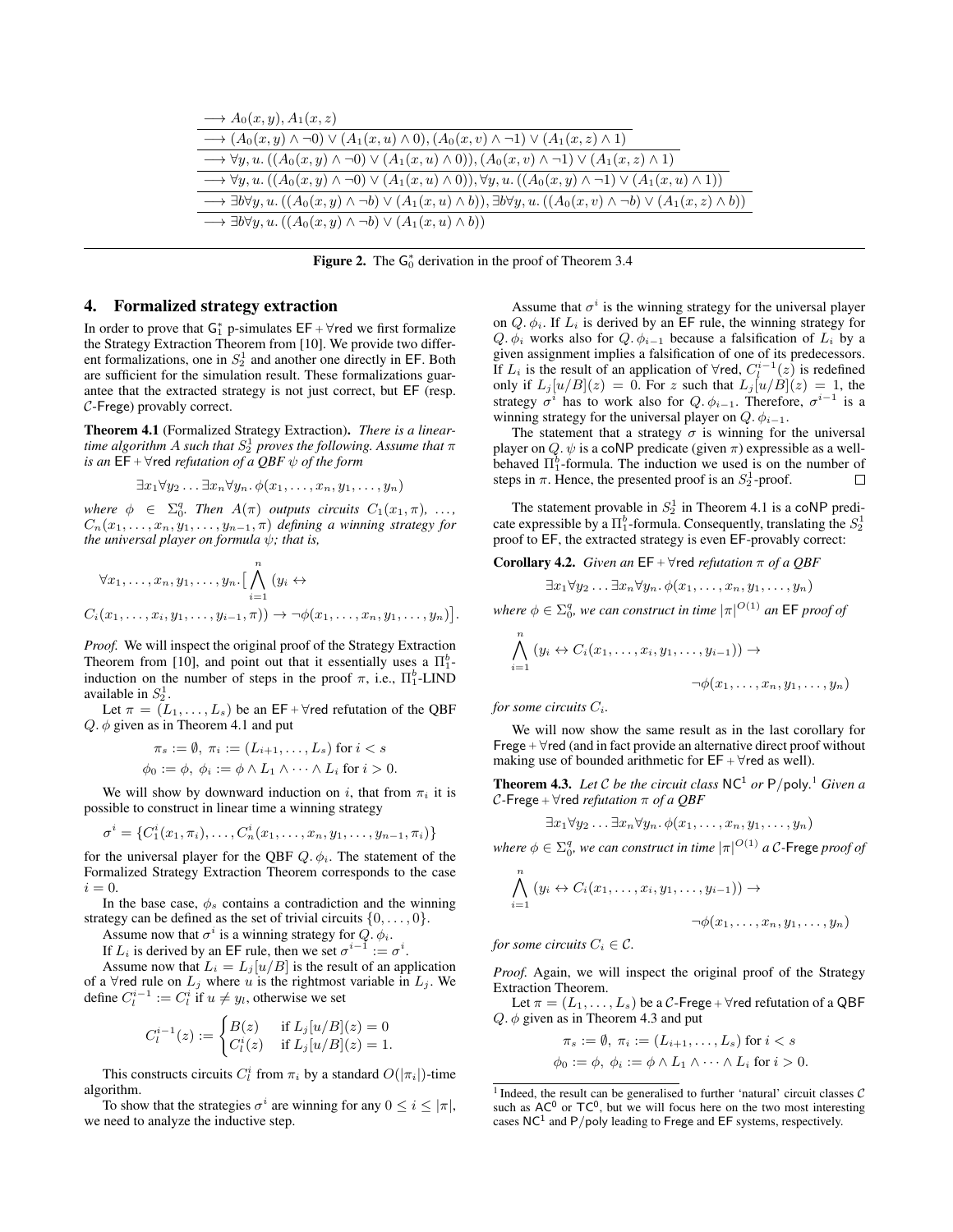| $\longrightarrow A_0(x,y), A_1(x,z)$                                                                                                                                       |
|----------------------------------------------------------------------------------------------------------------------------------------------------------------------------|
| $\longrightarrow (A_0(x, y) \wedge \neg 0) \vee (A_1(x, u) \wedge 0), (A_0(x, v) \wedge \neg 1) \vee (A_1(x, z) \wedge 1)$                                                 |
| $\longrightarrow \forall y, u. ((A_0(x, y) \wedge \neg 0) \vee (A_1(x, u) \wedge 0)), (A_0(x, v) \wedge \neg 1) \vee (A_1(x, z) \wedge 1))$                                |
| $\longrightarrow \forall y, u. ((A_0(x, y) \wedge \neg 0) \vee (A_1(x, u) \wedge 0)), \forall y, u. ((A_0(x, y) \wedge \neg 1) \vee (A_1(x, u) \wedge 1))$                 |
| $\longrightarrow \exists b \forall y, u. ((A_0(x, y) \land \neg b) \lor (A_1(x, u) \land b)), \exists b \forall y, u. ((A_0(x, v) \land \neg b) \lor (A_1(x, z) \land b))$ |
| $\longrightarrow \exists b \forall y, u. ((A_0(x, y) \wedge \neg b) \vee (A_1(x, u) \wedge b))$                                                                            |

Figure 2. The  $G_0^*$  derivation in the proof of Theorem 3.4

#### 4. Formalized strategy extraction

In order to prove that  $G_1^*$  p-simulates  $EF + \forall$ red we first formalize the Strategy Extraction Theorem from [10]. We provide two different formalizations, one in  $S_2^1$  and another one directly in EF. Both are sufficient for the simulation result. These formalizations guarantee that the extracted strategy is not just correct, but EF (resp. C-Frege) provably correct.

Theorem 4.1 (Formalized Strategy Extraction). *There is a lineartime algorithm* A such that  $S_2^1$  proves the following. Assume that  $\pi$ *is an*  $EF + \forall$ red *refutation of a QBF*  $\psi$  *of the form* 

$$
\exists x_1 \forall y_2 \ldots \exists x_n \forall y_n \ldotp \phi(x_1, \ldots, x_n, y_1, \ldots, y_n)
$$

*where*  $\phi \in \Sigma_0^q$ . *Then*  $A(\pi)$  *outputs circuits*  $C_1(x_1, \pi)$ , ...,  $C_n(x_1, \ldots, x_n, y_1, \ldots, y_{n-1}, \pi)$  *defining a winning strategy for the universal player on formula*  $\psi$ *; that is,* 

$$
\forall x_1, \dots, x_n, y_1, \dots, y_n. \left[ \bigwedge_{i=1}^n (y_i \leftrightarrow
$$
  

$$
C_i(x_1, \dots, x_i, y_1, \dots, y_{i-1}, \pi)) \rightarrow \neg \phi(x_1, \dots, x_n, y_1, \dots, y_n) \right].
$$

*Proof.* We will inspect the original proof of the Strategy Extraction Theorem from [10], and point out that it essentially uses a  $\Pi_1^b$ induction on the number of steps in the proof  $\pi$ , i.e.,  $\Pi_1^b$ -LIND available in  $S_2^1$ .

Let  $\pi = (L_1, \ldots, L_s)$  be an EF +  $\forall$ red refutation of the QBF  $Q. \phi$  given as in Theorem 4.1 and put

$$
\pi_s := \emptyset, \ \pi_i := (L_{i+1}, \dots, L_s) \text{ for } i < s
$$
\n
$$
\phi_0 := \phi, \ \phi_i := \phi \land L_1 \land \dots \land L_i \text{ for } i > 0.
$$

We will show by downward induction on i, that from  $\pi_i$  it is possible to construct in linear time a winning strategy

$$
\sigma^i = \{C_1^i(x_1, \pi_i), \ldots, C_n^i(x_1, \ldots, x_n, y_1, \ldots, y_{n-1}, \pi_i)\}\
$$

for the universal player for the QBF  $Q, \phi_i$ . The statement of the Formalized Strategy Extraction Theorem corresponds to the case  $i = 0$ .

In the base case,  $\phi_s$  contains a contradiction and the winning strategy can be defined as the set of trivial circuits  $\{0, \ldots, 0\}$ .

Assume now that  $\sigma^i$  is a winning strategy for  $Q$ .  $\phi_i$ .

If  $L_i$  is derived by an EF rule, then we set  $\sigma^{i-1} := \sigma^i$ .

Assume now that  $L_i = L_j[u/B]$  is the result of an application of a  $\forall$ red rule on  $L_j$  where u is the rightmost variable in  $L_j$ . We define  $C_l^{i-1} := C_l^i$  if  $u \neq y_l$ , otherwise we set

$$
C_l^{i-1}(z) := \begin{cases} B(z) & \text{if } L_j[u/B](z) = 0\\ C_l^i(z) & \text{if } L_j[u/B](z) = 1. \end{cases}
$$

This constructs circuits  $C_l^i$  from  $\pi_i$  by a standard  $O(|\pi_i|)$ -time algorithm.

To show that the strategies  $\sigma^i$  are winning for any  $0 \le i \le |\pi|$ , we need to analyze the inductive step.

Assume that  $\sigma^i$  is the winning strategy for the universal player on  $Q$ .  $\phi_i$ . If  $L_i$  is derived by an EF rule, the winning strategy for Q.  $\phi_i$  works also for Q.  $\phi_{i-1}$  because a falsification of  $L_i$  by a given assignment implies a falsification of one of its predecessors. If  $L_i$  is the result of an application of  $\forall$ red,  $C_l^{i-1}(z)$  is redefined only if  $L_j[u/B](z) = 0$ . For z such that  $L_j[u/B](z) = 1$ , the strategy  $\sigma^i$  has to work also for Q.  $\phi_{i-1}$ . Therefore,  $\sigma^{i-1}$  is a winning strategy for the universal player on  $Q$ .  $\phi_{i-1}$ .

The statement that a strategy  $\sigma$  is winning for the universal player on Q.  $\psi$  is a coNP predicate (given  $\pi$ ) expressible as a wellbehaved  $\Pi_1^b$ -formula. The induction we used is on the number of steps in  $\pi$ . Hence, the presented proof is an  $S_2^1$ -proof.  $\Box$ 

The statement provable in  $S_2^1$  in Theorem 4.1 is a coNP predicate expressible by a  $\Pi_1^b$ -formula. Consequently, translating the  $S_2^1$ proof to EF, the extracted strategy is even EF-provably correct:

#### **Corollary 4.2.** *Given an*  $EF + \forall$ red *refutation*  $\pi$  *of a QBF*

$$
\exists x_1 \forall y_2 \ldots \exists x_n \forall y_n \ldotp \phi(x_1, \ldots, x_n, y_1, \ldots, y_n)
$$

*where*  $\phi \in \Sigma_0^q$ , we can construct in time  $|\pi|^{O(1)}$  an EF proof of

$$
\bigwedge_{i=1}^{n} (y_i \leftrightarrow C_i(x_1, \dots, x_i, y_1, \dots, y_{i-1})) \rightarrow
$$
  

$$
\neg \phi(x_1, \dots, x_n, y_1, \dots, y_n)
$$

*for some circuits*  $C_i$ *.* 

We will now show the same result as in the last corollary for Frege  $+ \forall$ red (and in fact provide an alternative direct proof without making use of bounded arithmetic for  $EF + \forall$ red as well).

**Theorem 4.3.** Let C be the circuit class  $NC^1$  or  $P$ /poly.<sup>1</sup> Given a C*-*Frege <sup>+</sup> ∀red *refutation* π *of a QBF*

$$
\exists x_1 \forall y_2 \ldots \exists x_n \forall y_n \ldotp \phi(x_1, \ldots, x_n, y_1, \ldots, y_n)
$$

where  $\phi \in \Sigma_0^q$ , we can construct in time  $|\pi|^{O(1)}$  a C-Frege proof of

$$
\bigwedge_{i=1}^{n} (y_i \leftrightarrow C_i(x_1, \dots, x_i, y_1, \dots, y_{i-1})) \rightarrow
$$
  

$$
\neg \phi(x_1, \dots, x_n, y_1, \dots, y_n)
$$

*for some circuits*  $C_i \in \mathcal{C}$ *.* 

*Proof.* Again, we will inspect the original proof of the Strategy Extraction Theorem.

Let  $\pi = (L_1, \ldots, L_s)$  be a C-Frege +  $\forall$ red refutation of a QBF  $Q. \phi$  given as in Theorem 4.3 and put

$$
\pi_s := \emptyset, \ \pi_i := (L_{i+1}, \dots, L_s) \text{ for } i < s
$$
\n
$$
\phi_0 := \phi, \ \phi_i := \phi \land L_1 \land \dots \land L_i \text{ for } i > 0.
$$

<sup>&</sup>lt;sup>1</sup> Indeed, the result can be generalised to further 'natural' circuit classes  $C$ such as  $AC^0$  or  $TC^0$ , but we will focus here on the two most interesting cases  $NC<sup>1</sup>$  and P/poly leading to Frege and EF systems, respectively.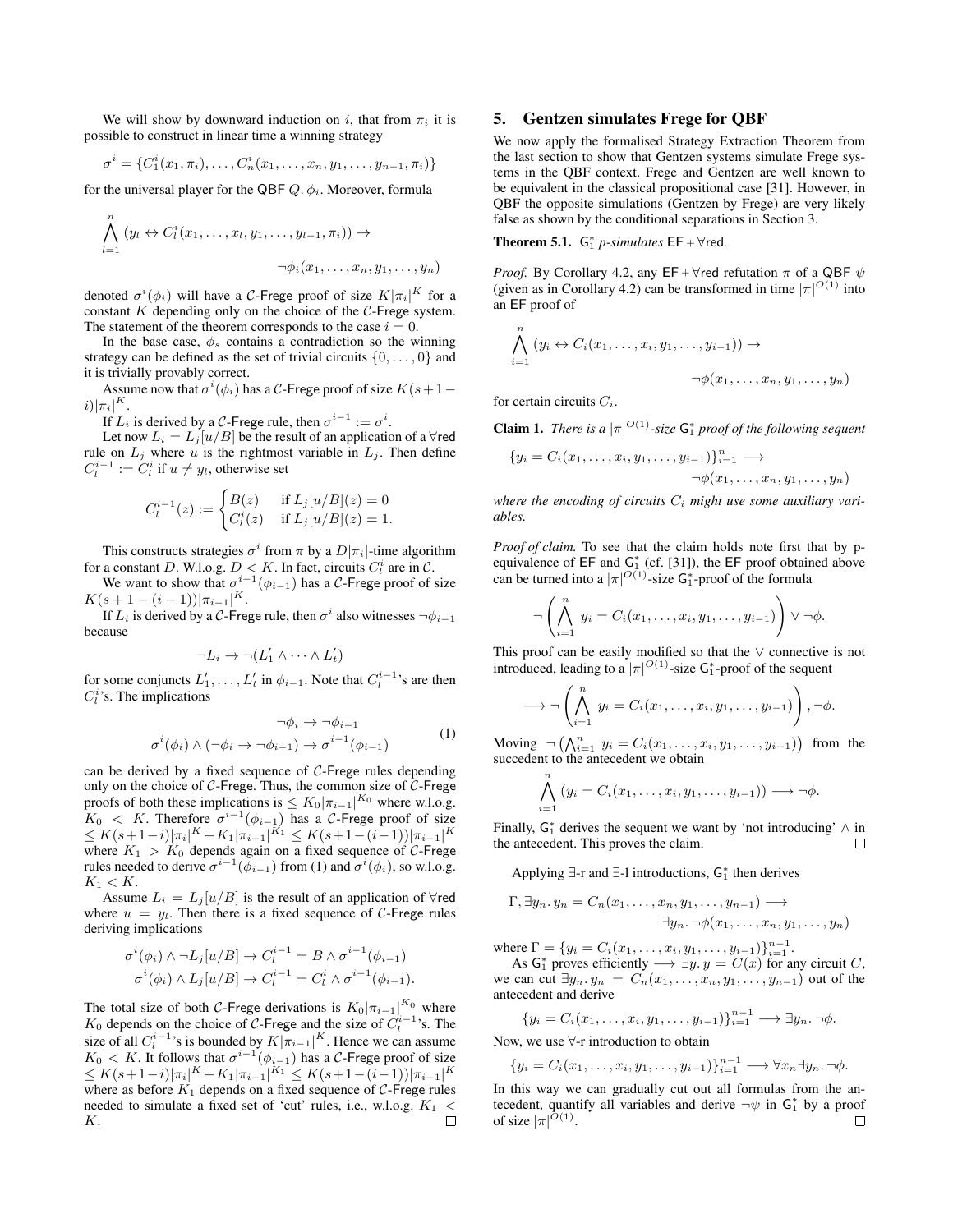We will show by downward induction on i, that from  $\pi_i$  it is possible to construct in linear time a winning strategy

$$
\sigma^i = \{C_1^i(x_1, \pi_i), \ldots, C_n^i(x_1, \ldots, x_n, y_1, \ldots, y_{n-1}, \pi_i)\}\
$$

for the universal player for the QBF  $Q$ .  $\phi_i$ . Moreover, formula

$$
\bigwedge_{l=1}^{n} (y_l \leftrightarrow C_l^i(x_1,\ldots,x_l,y_1,\ldots,y_{l-1},\pi_i)) \rightarrow
$$

$$
\neg \phi_i(x_1,\ldots,x_n,y_1,\ldots,y_n)
$$

denoted  $\sigma^{i}(\phi_{i})$  will have a C-Frege proof of size  $K|\pi_{i}|^{K}$  for a constant  $K$  depending only on the choice of the  $C$ -Frege system. The statement of the theorem corresponds to the case  $i = 0$ .

In the base case,  $\phi_s$  contains a contradiction so the winning strategy can be defined as the set of trivial circuits  $\{0, \ldots, 0\}$  and it is trivially provably correct.

Assume now that  $\sigma^i(\phi_i)$  has a C-Frege proof of size  $K(s+1)$  $i)|\pi_i|^K.$ 

If  $L_i$  is derived by a C-Frege rule, then  $\sigma^{i-1} := \sigma^i$ .

Let now  $L_i = L_j[u/B]$  be the result of an application of a  $\forall$ red rule on  $L_j$  where u is the rightmost variable in  $L_j$ . Then define  $C_l^{i-1} := \overline{C_l^i}$  if  $u \neq y_l$ , otherwise set

$$
C_l^{i-1}(z) := \begin{cases} B(z) & \text{if } L_j[u/B](z) = 0\\ C_l^i(z) & \text{if } L_j[u/B](z) = 1. \end{cases}
$$

This constructs strategies  $\sigma^i$  from  $\pi$  by a  $D|\pi_i|$ -time algorithm for a constant D. W.l.o.g.  $D < K$ . In fact, circuits  $C_l^i$  are in C.

We want to show that  $\sigma^{i-1}(\phi_{i-1})$  has a C-Frege proof of size  $K(s+1-(i-1))|\pi_{i-1}|^K$ .

If  $L_i$  is derived by a C-Frege rule, then  $\sigma^i$  also witnesses  $\neg \phi_{i-1}$ because

$$
\neg L_i \to \neg (L'_1 \land \dots \land L'_t)
$$

for some conjuncts  $L'_1, \ldots, L'_t$  in  $\phi_{i-1}$ . Note that  $C_l^{i-1}$ 's are then  $C_l^i$ 's. The implications

$$
\neg \phi_i \to \neg \phi_{i-1}
$$
  
\n
$$
\sigma^i(\phi_i) \land (\neg \phi_i \to \neg \phi_{i-1}) \to \sigma^{i-1}(\phi_{i-1})
$$
\n(1)

can be derived by a fixed sequence of  $C$ -Frege rules depending only on the choice of  $C$ -Frege. Thus, the common size of  $C$ -Frege proofs of both these implications is  $\leq K_0 |\pi_{i-1}|^{K_0}$  where w.l.o.g.  $K_0$  < K. Therefore  $\sigma^{i-1}(\phi_{i-1})$  has a C-Frege proof of size  $\leq K(s+1-i)|\pi_i|^K + K_1|\pi_{i-1}|^{K_1} \leq K(s+1-(i-1))|\pi_{i-1}|^K$ where  $K_1 > K_0$  depends again on a fixed sequence of C-Frege rules needed to derive  $\sigma^{i-1}(\phi_{i-1})$  from (1) and  $\sigma^i(\phi_i)$ , so w.l.o.g.  $K_1 < K$ .

Assume  $L_i = L_j[u/B]$  is the result of an application of  $\forall$ red where  $u = y_l$ . Then there is a fixed sequence of C-Frege rules deriving implications

$$
\sigma^i(\phi_i) \wedge \neg L_j[u/B] \rightarrow C_l^{i-1} = B \wedge \sigma^{i-1}(\phi_{i-1})
$$
  

$$
\sigma^i(\phi_i) \wedge L_j[u/B] \rightarrow C_l^{i-1} = C_l^i \wedge \sigma^{i-1}(\phi_{i-1}).
$$

The total size of both C-Frege derivations is  $K_0|\pi_{i-1}|^{K_0}$  where  $K_0$  depends on the choice of C-Frege and the size of  $C_l^{i-1}$ 's. The size of all  $C_l^{i-1}$ 's is bounded by  $K|\pi_{i-1}|^K$ . Hence we can assume  $K_0 < K$ . It follows that  $\sigma^{i-1}(\phi_{i-1})$  has a C-Frege proof of size  $\leq K(s+1-i)|\pi_i|^K + K_1|\pi_{i-1}|^{K_1} \leq K(s+1-(i-1))|\pi_{i-1}|^K$ where as before  $K_1$  depends on a fixed sequence of  $C$ -Frege rules needed to simulate a fixed set of 'cut' rules, i.e., w.l.o.g.  $K_1 \nleq K$ . K.

## 5. Gentzen simulates Frege for QBF

We now apply the formalised Strategy Extraction Theorem from the last section to show that Gentzen systems simulate Frege systems in the QBF context. Frege and Gentzen are well known to be equivalent in the classical propositional case [31]. However, in QBF the opposite simulations (Gentzen by Frege) are very likely false as shown by the conditional separations in Section 3.

**Theorem 5.1.**  $G_1^*$  *p-simulates*  $EF + \forall$ red.

*Proof.* By Corollary 4.2, any  $EF + \forall$ red refutation  $\pi$  of a QBF  $\psi$ (given as in Corollary 4.2) can be transformed in time  $|\pi|^{O(1)}$  into an EF proof of

$$
\bigwedge_{i=1}^{n} (y_i \leftrightarrow C_i(x_1, \dots, x_i, y_1, \dots, y_{i-1})) \rightarrow
$$
  

$$
\neg \phi(x_1, \dots, x_n, y_1, \dots, y_n)
$$

for certain circuits  $C_i$ .

**Claim 1.** *There is a*  $|\pi|^{O(1)}$ -size  $G_1^*$  proof of the following sequent

$$
{y_i = C_i(x_1,\ldots,x_i,y_1,\ldots,y_{i-1})\}_{i=1}^n \longrightarrow
$$
  

$$
\neg \phi(x_1,\ldots,x_n,y_1,\ldots,y_n)
$$

where the encoding of circuits  $C_i$  might use some auxiliary vari*ables.*

*Proof of claim.* To see that the claim holds note first that by pequivalence of  $EF$  and  $G_1^*$  (cf. [31]), the  $EF$  proof obtained above can be turned into a  $|\pi|^{O(1)}$ -size  $G_1^*$ -proof of the formula

$$
\neg \left( \bigwedge_{i=1}^n y_i = C_i(x_1, \dots, x_i, y_1, \dots, y_{i-1}) \right) \vee \neg \phi.
$$

This proof can be easily modified so that the  $\vee$  connective is not introduced, leading to a  $|\pi|^{O(1)}$ -size  $G_1^*$ -proof of the sequent

$$
\longrightarrow \neg \left( \bigwedge_{i=1}^{n} y_{i} = C_{i}(x_{1}, \ldots, x_{i}, y_{1}, \ldots, y_{i-1}) \right), \neg \phi.
$$

Moving  $\neg \left( \bigwedge_{i=1}^n y_i = C_i(x_1, \ldots, x_i, y_1, \ldots, y_{i-1}) \right)$  from the succedent to the antecedent we obtain

$$
\bigwedge_{i=1}^n (y_i = C_i(x_1,\ldots,x_i,y_1,\ldots,y_{i-1})) \longrightarrow \neg \phi.
$$

Finally,  $G_1^*$  derives the sequent we want by 'not introducing'  $\wedge$  in the antecedent. This proves the claim.

Applying  $\exists$ -r and  $\exists$ -l introductions,  $G_1^*$  then derives

$$
\Gamma, \exists y_n. y_n = C_n(x_1, \dots, x_n, y_1, \dots, y_{n-1}) \longrightarrow
$$
  

$$
\exists y_n. \neg \phi(x_1, \dots, x_n, y_1, \dots, y_n)
$$

where  $\Gamma = \{y_i = C_i(x_1, \ldots, x_i, y_1, \ldots, y_{i-1})\}_{i=1}^{n-1}$ . As  $G_1^*$  proves efficiently  $\longrightarrow \exists y. y = C(x)$  for any circuit C, we can cut  $\exists y_n \cdot y_n = C_n(x_1, \ldots, x_n, y_1, \ldots, y_{n-1})$  out of the

antecedent and derive

\n
$$
\{y_i = C_i(x_1, \ldots, x_i, y_1, \ldots, y_{i-1})\}_{i=1}^{n-1} \longrightarrow \exists y_n. \neg \phi.
$$

Now, we use ∀-r introduction to obtain

$$
\{y_i = C_i(x_1,\ldots,x_i,y_1,\ldots,y_{i-1})\}_{i=1}^{n-1} \longrightarrow \forall x_n \exists y_n.\neg \phi.
$$

In this way we can gradually cut out all formulas from the antecedent, quantify all variables and derive  $\neg \psi$  in  $G_1^*$  by a proof of size  $|\pi|^{O(1)}$ .  $\Box$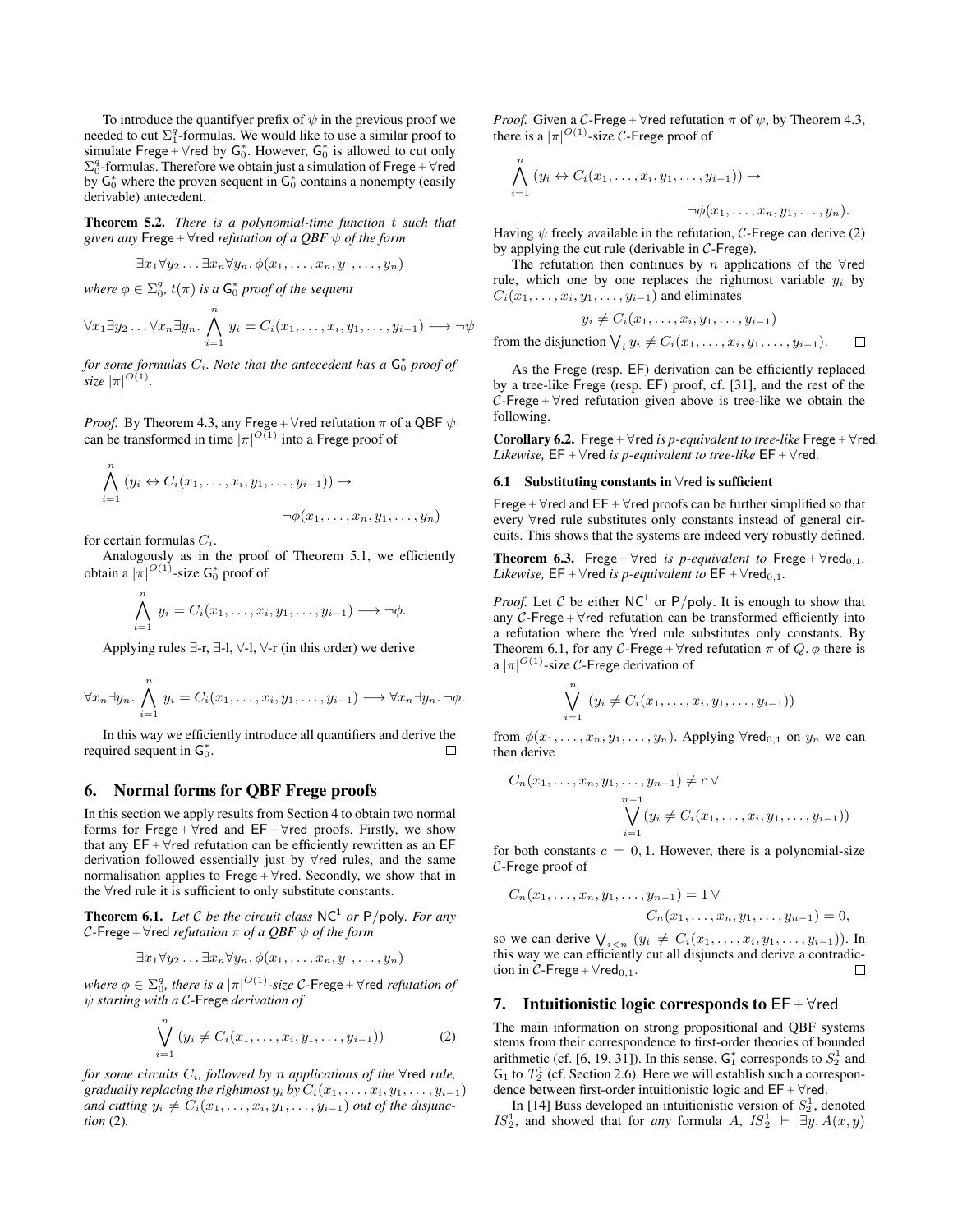To introduce the quantifyer prefix of  $\psi$  in the previous proof we needed to cut  $\Sigma_1^q$ -formulas. We would like to use a similar proof to simulate Frege  $+$   $\forall$ red by  $G_0^*$ . However,  $G_0^*$  is allowed to cut only  $\Sigma_0^q$ -formulas. Therefore we obtain just a simulation of Frege +  $\forall$ red by  $G_0^*$  where the proven sequent in  $G_0^*$  contains a nonempty (easily derivable) antecedent.

Theorem 5.2. *There is a polynomial-time function* t *such that given any* Frege +  $\forall$ red *refutation of a QBF*  $\psi$  *of the form* 

$$
\exists x_1 \forall y_2 \ldots \exists x_n \forall y_n \ldotp \phi(x_1, \ldots, x_n, y_1, \ldots, y_n)
$$

where  $\phi \in \Sigma_0^q$ ,  $t(\pi)$  *is a*  $\mathsf{G}_0^*$  proof of the sequent

$$
\forall x_1 \exists y_2 \ldots \forall x_n \exists y_n \ldotp \bigwedge_{i=1}^n y_i = C_i(x_1, \ldots, x_i, y_1, \ldots, y_{i-1}) \longrightarrow \neg \psi
$$

for some formulas  $C_i$ . Note that the antecedent has a  $\mathsf{G}_0^*$  proof of  $size \ |\pi|^{O(1)}$ .

*Proof.* By Theorem 4.3, any Frege +  $\forall$ red refutation  $\pi$  of a QBF  $\psi$ can be transformed in time  $|\pi|^{O(1)}$  into a Frege proof of

$$
\bigwedge_{i=1}^{n} (y_i \leftrightarrow C_i(x_1, \dots, x_i, y_1, \dots, y_{i-1})) \rightarrow
$$
  

$$
\neg \phi(x_1, \dots, x_n, y_1, \dots, y_n)
$$

for certain formulas  $C_i$ .

Analogously as in the proof of Theorem 5.1, we efficiently obtain a  $|\pi|^{O(1)}$ -size  $\mathsf{G}_0^*$  proof of

$$
\bigwedge_{i=1}^n y_i = C_i(x_1,\ldots,x_i,y_1,\ldots,y_{i-1}) \longrightarrow \neg \phi.
$$

Applying rules ∃-r, ∃-l, ∀-l, ∀-r (in this order) we derive

$$
\forall x_n \exists y_n \ldotp \bigwedge_{i=1}^n y_i = C_i(x_1, \ldots, x_i, y_1, \ldots, y_{i-1}) \longrightarrow \forall x_n \exists y_n \ldotp \neg \phi.
$$

In this way we efficiently introduce all quantifiers and derive the required sequent in  $G_0^*$ .  $\Box$ 

#### 6. Normal forms for QBF Frege proofs

In this section we apply results from Section 4 to obtain two normal forms for Frege +  $\forall$ red and EF +  $\forall$ red proofs. Firstly, we show that any  $EF + \forall$ red refutation can be efficiently rewritten as an  $EF$ derivation followed essentially just by ∀red rules, and the same normalisation applies to Frege +  $\forall$ red. Secondly, we show that in the ∀red rule it is sufficient to only substitute constants.

**Theorem 6.1.** Let C be the circuit class  $NC^1$  or P/poly. For any  $C$ -Frege +  $\forall$ red *refutation*  $\pi$  *of a QBF*  $\psi$  *of the form* 

$$
\exists x_1 \forall y_2 \ldots \exists x_n \forall y_n \ldotp \phi(x_1, \ldots, x_n, y_1, \ldots, y_n)
$$

where  $\phi \in \Sigma_0^q$ , there is a  $|\pi|^{O(1)}$ -size C-Frege +  $\forall$ red *refutation of* ψ *starting with a* C*-*Frege *derivation of*

$$
\bigvee_{i=1}^{n} (y_i \neq C_i(x_1, \ldots, x_i, y_1, \ldots, y_{i-1}))
$$
 (2)

*for some circuits* Ci*, followed by* n *applications of the* ∀red *rule, gradually replacing the rightmost*  $y_i$  *by*  $C_i(x_1, \ldots, x_i, y_1, \ldots, y_{i-1})$ *and cutting*  $y_i \neq C_i(x_1, \ldots, x_i, y_1, \ldots, y_{i-1})$  *out of the disjunction* (2)*.*

*Proof.* Given a C-Frege +  $\forall$ red refutation  $\pi$  of  $\psi$ , by Theorem 4.3, there is a  $|\pi|^{O(1)}$ -size C-Frege proof of

$$
\bigwedge_{i=1}^{n} (y_i \leftrightarrow C_i(x_1,\ldots,x_i,y_1,\ldots,y_{i-1})) \rightarrow
$$
  

$$
\neg \phi(x_1,\ldots,x_n,y_1,\ldots,y_n).
$$

Having  $\psi$  freely available in the refutation, C-Frege can derive (2) by applying the cut rule (derivable in  $C$ -Frege).

The refutation then continues by  $n$  applications of the  $\forall$ red rule, which one by one replaces the rightmost variable  $y_i$  by  $C_i(x_1, \ldots, x_i, y_1, \ldots, y_{i-1})$  and eliminates

$$
y_i \neq C_i(x_1,\ldots,x_i,y_1,\ldots,y_{i-1})
$$

 $\Box$ from the disjunction  $\bigvee_i y_i \neq C_i(x_1, \ldots, x_i, y_1, \ldots, y_{i-1}).$ 

As the Frege (resp. EF) derivation can be efficiently replaced by a tree-like Frege (resp. EF) proof, cf. [31], and the rest of the  $C$ -Frege +  $\forall$ red refutation given above is tree-like we obtain the following.

Corollary 6.2. Frege <sup>+</sup> ∀red *is p-equivalent to tree-like* Frege <sup>+</sup> ∀red*. Likewise,*  $EF + \forall$ red *is p-equivalent to tree-like*  $EF + \forall$ red.

#### 6.1 Substituting constants in  $\forall$ red is sufficient

Frege +  $\forall$ red and EF +  $\forall$ red proofs can be further simplified so that every ∀red rule substitutes only constants instead of general circuits. This shows that the systems are indeed very robustly defined.

Theorem 6.3. Frege +  $\forall$ red *is p-equivalent to* Frege +  $\forall$ red<sub>0,1</sub>. *Likewise,*  $EF + \forall$ red *is p-equivalent to*  $EF + \forall$ red<sub>0,1</sub>.

*Proof.* Let C be either  $NC^1$  or P/poly. It is enough to show that any  $C$ -Frege +  $\forall$ red refutation can be transformed efficiently into a refutation where the ∀red rule substitutes only constants. By Theorem 6.1, for any C-Frege +  $\forall$ red refutation  $\pi$  of  $Q$ .  $\phi$  there is a  $|\pi|^{O(1)}$ -size C-Frege derivation of

$$
\bigvee_{i=1}^{n} (y_i \neq C_i(x_1, \ldots, x_i, y_1, \ldots, y_{i-1}))
$$

from  $\phi(x_1, \ldots, x_n, y_1, \ldots, y_n)$ . Applying  $\forall$ red<sub>0,1</sub> on  $y_n$  we can then derive

$$
C_n(x_1,\ldots,x_n,y_1,\ldots,y_{n-1}) \neq c \vee \newline \bigvee_{i=1}^{n-1} (y_i \neq C_i(x_1,\ldots,x_i,y_1,\ldots,y_{i-1}))
$$

for both constants  $c = 0, 1$ . However, there is a polynomial-size C-Frege proof of

$$
C_n(x_1,...,x_n,y_1,...,y_{n-1}) = 1 \vee
$$
  

$$
C_n(x_1,...,x_n,y_1,...,y_{n-1}) = 0,
$$

so we can derive  $\bigvee_{i \leq n} (y_i \neq C_i(x_1, \ldots, x_i, y_1, \ldots, y_{i-1}))$ . In this way we can efficiently cut all disjuncts and derive a contradiction in C-Frege +  $\forall$ red<sub>0,1</sub>. □

#### 7. Intuitionistic logic corresponds to  $EF + \forall red$

The main information on strong propositional and QBF systems stems from their correspondence to first-order theories of bounded arithmetic (cf. [6, 19, 31]). In this sense,  $G_1^*$  corresponds to  $S_2^1$  and  $G_1$  to  $T_2^1$  (cf. Section 2.6). Here we will establish such a correspondence between first-order intuitionistic logic and  $EF + \forall$ red.

In [14] Buss developed an intuitionistic version of  $S_2^1$ , denoted  $IS_2^1$ , and showed that for *any* formula A,  $IS_2^1 \vdash \exists y. A(x, y)$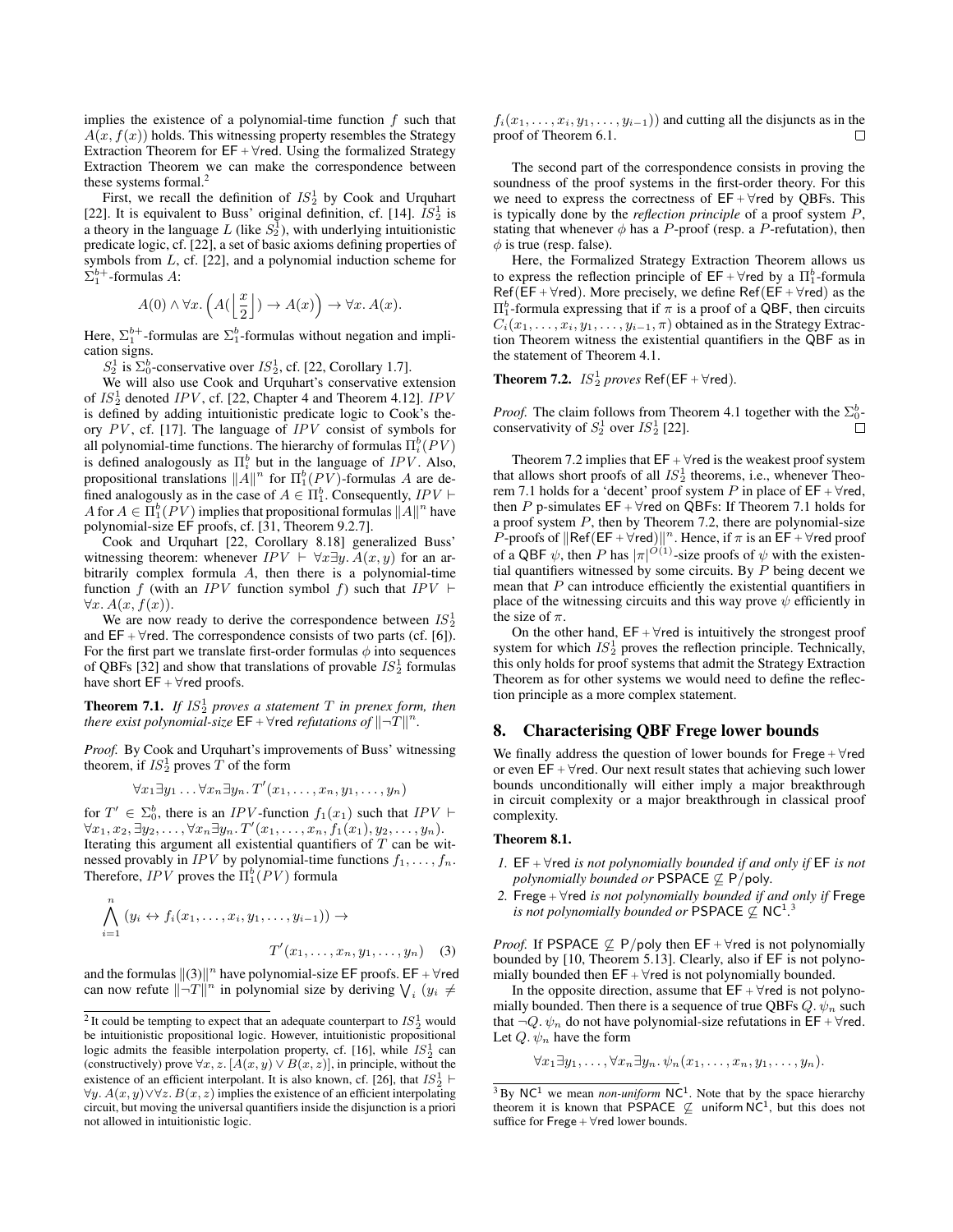implies the existence of a polynomial-time function  $f$  such that  $A(x, f(x))$  holds. This witnessing property resembles the Strategy Extraction Theorem for  $EF + \forall$ red. Using the formalized Strategy Extraction Theorem we can make the correspondence between these systems formal. $<sup>2</sup>$ </sup>

First, we recall the definition of  $IS_2^1$  by Cook and Urquhart [22]. It is equivalent to Buss' original definition, cf. [14].  $\overline{IS_2^1}$  is a theory in the language L (like  $S_2^{\bar{1}}$ ), with underlying intuitionistic predicate logic, cf. [22], a set of basic axioms defining properties of symbols from  $L$ , cf. [22], and a polynomial induction scheme for  $\Sigma_1^{b+}$ -formulas A:

$$
A(0) \land \forall x. \left( A(\left\lfloor \frac{x}{2} \right\rfloor) \to A(x) \right) \to \forall x. A(x).
$$

Here,  $\Sigma_1^{b+}$ -formulas are  $\Sigma_1^b$ -formulas without negation and implication signs.

 $S_2^1$  is  $\Sigma_0^b$ -conservative over  $IS_2^1$ , cf. [22, Corollary 1.7].

We will also use Cook and Urquhart's conservative extension of  $IS_2^1$  denoted IPV, cf. [22, Chapter 4 and Theorem 4.12]. IPV is defined by adding intuitionistic predicate logic to Cook's theory  $PV$ , cf. [17]. The language of  $IPV$  consist of symbols for all polynomial-time functions. The hierarchy of formulas  $\Pi_i^b(PV)$ is defined analogously as  $\Pi_i^b$  but in the language of  $IPV$ . Also, propositional translations  $||A||^n$  for  $\Pi_1^b(PV)$ -formulas A are defined analogously as in the case of  $A \in \Pi_1^b$ . Consequently,  $IPV \vdash$ A for  $A \in \Pi_1^b(PV)$  implies that propositional formulas  $||A||^n$  have polynomial-size EF proofs, cf. [31, Theorem 9.2.7].

Cook and Urquhart [22, Corollary 8.18] generalized Buss' witnessing theorem: whenever  $IPV \vdash \forall x \exists y$ .  $A(x, y)$  for an arbitrarily complex formula  $A$ , then there is a polynomial-time function f (with an IPV function symbol f) such that IPV  $\vdash$  $\forall x. A(x, f(x)).$ 

We are now ready to derive the correspondence between  $IS_2^1$ and  $EF + \forall$ red. The correspondence consists of two parts (cf. [6]). For the first part we translate first-order formulas  $\phi$  into sequences of QBFs [32] and show that translations of provable  $IS_2^1$  formulas have short  $EF + \forall$ red proofs.

**Theorem 7.1.** If  $IS_2^1$  proves a statement  $T$  in prenex form, then *there exist polynomial-size*  $\mathsf{EF} + \forall$ red *refutations of*  $||\neg T||^n$ .

*Proof.* By Cook and Urquhart's improvements of Buss' witnessing theorem, if  $IS_2^1$  proves  $\hat{T}$  of the form

$$
\forall x_1 \exists y_1 \ldots \forall x_n \exists y_n \ldotp T'(x_1, \ldots, x_n, y_1, \ldots, y_n)
$$

for  $T' \in \Sigma_0^b$ , there is an *IPV*-function  $f_1(x_1)$  such that *IPV*  $\vdash$  $\forall x_1,x_2,\exists y_2,\ldots,\forall x_n \exists y_n.\ T'(x_1,\ldots,x_n,f_1(x_1),y_2,\ldots,y_n).$ Iterating this argument all existential quantifiers of  $T$  can be witnessed provably in *IPV* by polynomial-time functions  $f_1, \ldots, f_n$ . Therefore,  $IPV$  proves the  $\Pi_1^b(PV)$  formula

$$
\bigwedge_{i=1}^{n} (y_i \leftrightarrow f_i(x_1, \dots, x_i, y_1, \dots, y_{i-1})) \rightarrow
$$
\n
$$
T'(x_1, \dots, x_n, y_1, \dots, y_n) \quad (3)
$$

and the formulas  $\|(3)\|^n$  have polynomial-size EF proofs. EF +  $\forall$ red can now refute  $\|\neg T\|^n$  in polynomial size by deriving  $\bigvee_i (y_i \neq$ 

 $f_i(x_1, \ldots, x_i, y_1, \ldots, y_{i-1})$  and cutting all the disjuncts as in the proof of Theorem 6.1.  $\Box$ 

The second part of the correspondence consists in proving the soundness of the proof systems in the first-order theory. For this we need to express the correctness of  $EF + \forall$ red by QBFs. This is typically done by the *reflection principle* of a proof system P, stating that whenever  $\phi$  has a P-proof (resp. a P-refutation), then  $\phi$  is true (resp. false).

Here, the Formalized Strategy Extraction Theorem allows us to express the reflection principle of  $EF + \forall$ red by a  $\Pi_1^b$ -formula Ref(EF +  $\forall$ red). More precisely, we define Ref(EF +  $\forall$ red) as the  $\Pi_1^b$ -formula expressing that if  $\pi$  is a proof of a QBF, then circuits  $C_i(x_1, \ldots, x_i, y_1, \ldots, y_{i-1}, \pi)$  obtained as in the Strategy Extraction Theorem witness the existential quantifiers in the QBF as in the statement of Theorem 4.1.

**Theorem 7.2.**  $IS_2^1$  proves  $Ref(EF + \forall red)$ .

*Proof.* The claim follows from Theorem 4.1 together with the  $\Sigma_0^b$ conservativity of  $S_2^1$  over  $IS_2^1$  [22].

Theorem 7.2 implies that  $EF + \forall$ red is the weakest proof system that allows short proofs of all  $IS_2^1$  theorems, i.e., whenever Theorem 7.1 holds for a 'decent' proof system P in place of  $EF + \forall$ red, then P p-simulates  $EF + \forall$ red on QBFs: If Theorem 7.1 holds for a proof system P, then by Theorem 7.2, there are polynomial-size P-proofs of  $\left\Vert \mathsf{Ref}(\mathsf{EF} + \forall \mathsf{red}) \right\Vert^n$ . Hence, if  $\pi$  is an  $\mathsf{EF} + \forall \mathsf{red}$  proof of a QBF  $\psi$ , then P has  $|\pi|^{O(1)}$ -size proofs of  $\psi$  with the existential quantifiers witnessed by some circuits. By  $P$  being decent we mean that  $P$  can introduce efficiently the existential quantifiers in place of the witnessing circuits and this way prove  $\psi$  efficiently in the size of  $\pi$ .

On the other hand,  $EF + \forall$ red is intuitively the strongest proof system for which  $IS_2^1$  proves the reflection principle. Technically, this only holds for proof systems that admit the Strategy Extraction Theorem as for other systems we would need to define the reflection principle as a more complex statement.

## 8. Characterising QBF Frege lower bounds

We finally address the question of lower bounds for  $Free + \forall red$ or even  $EF + \forall$ red. Our next result states that achieving such lower bounds unconditionally will either imply a major breakthrough in circuit complexity or a major breakthrough in classical proof complexity.

#### Theorem 8.1.

- *1.* EF <sup>+</sup> ∀red *is not polynomially bounded if and only if* EF *is not polynomially bounded or* PSPACE  $\nsubseteq$  P/poly.
- *2.* Frege <sup>+</sup> ∀red *is not polynomially bounded if and only if* Frege *is not polynomially bounded or* PSPACE  $\nsubseteq$  NC<sup>1</sup>.<sup>3</sup>

*Proof.* If PSPACE  $\nsubseteq$  P/poly then EF +  $\forall$ red is not polynomially bounded by [10, Theorem 5.13]. Clearly, also if EF is not polynomially bounded then  $EF + \forall$ red is not polynomially bounded.

In the opposite direction, assume that  $EF + \forall$ red is not polynomially bounded. Then there is a sequence of true OBFs  $Q, \psi_n$  such that  $\neg Q$ .  $\psi_n$  do not have polynomial-size refutations in EF +  $\forall$ red. Let  $Q. \psi_n$  have the form

$$
\forall x_1 \exists y_1, \ldots, \forall x_n \exists y_n. \psi_n(x_1, \ldots, x_n, y_1, \ldots, y_n).
$$

<sup>&</sup>lt;sup>2</sup>It could be tempting to expect that an adequate counterpart to  $IS^1_2$  would be intuitionistic propositional logic. However, intuitionistic propositional logic admits the feasible interpolation property, cf. [16], while  $IS^1_2$  can (constructively) prove  $\forall x, z$ . [ $A(x, y) \lor B(x, z)$ ], in principle, without the existence of an efficient interpolant. It is also known, cf. [26], that  $IS_2^1 \vdash$  $\forall y$ .  $A(x, y)$ ∨ $\forall z$ .  $B(x, z)$  implies the existence of an efficient interpolating circuit, but moving the universal quantifiers inside the disjunction is a priori not allowed in intuitionistic logic.

 $3$  By NC<sup>1</sup> we mean *non-uniform* NC<sup>1</sup>. Note that by the space hierarchy theorem it is known that PSPACE  $\varphi$  uniform NC<sup>1</sup>, but this does not suffice for  $\text{Free} + \forall \text{red}$  lower bounds.